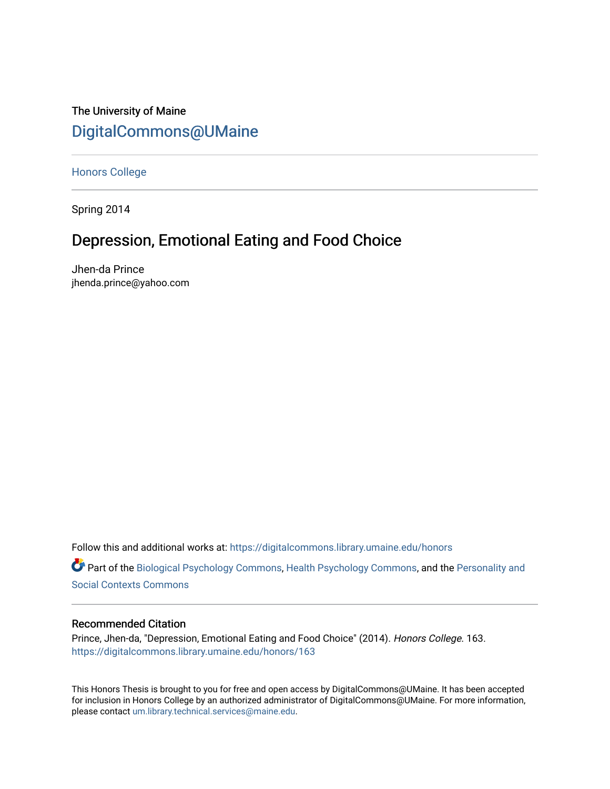# The University of Maine [DigitalCommons@UMaine](https://digitalcommons.library.umaine.edu/)

[Honors College](https://digitalcommons.library.umaine.edu/honors)

Spring 2014

# Depression, Emotional Eating and Food Choice

Jhen-da Prince jhenda.prince@yahoo.com

Follow this and additional works at: [https://digitalcommons.library.umaine.edu/honors](https://digitalcommons.library.umaine.edu/honors?utm_source=digitalcommons.library.umaine.edu%2Fhonors%2F163&utm_medium=PDF&utm_campaign=PDFCoverPages) 

Part of the [Biological Psychology Commons,](http://network.bepress.com/hgg/discipline/405?utm_source=digitalcommons.library.umaine.edu%2Fhonors%2F163&utm_medium=PDF&utm_campaign=PDFCoverPages) [Health Psychology Commons,](http://network.bepress.com/hgg/discipline/411?utm_source=digitalcommons.library.umaine.edu%2Fhonors%2F163&utm_medium=PDF&utm_campaign=PDFCoverPages) and the [Personality and](http://network.bepress.com/hgg/discipline/413?utm_source=digitalcommons.library.umaine.edu%2Fhonors%2F163&utm_medium=PDF&utm_campaign=PDFCoverPages) [Social Contexts Commons](http://network.bepress.com/hgg/discipline/413?utm_source=digitalcommons.library.umaine.edu%2Fhonors%2F163&utm_medium=PDF&utm_campaign=PDFCoverPages) 

# Recommended Citation

Prince, Jhen-da, "Depression, Emotional Eating and Food Choice" (2014). Honors College. 163. [https://digitalcommons.library.umaine.edu/honors/163](https://digitalcommons.library.umaine.edu/honors/163?utm_source=digitalcommons.library.umaine.edu%2Fhonors%2F163&utm_medium=PDF&utm_campaign=PDFCoverPages) 

This Honors Thesis is brought to you for free and open access by DigitalCommons@UMaine. It has been accepted for inclusion in Honors College by an authorized administrator of DigitalCommons@UMaine. For more information, please contact [um.library.technical.services@maine.edu.](mailto:um.library.technical.services@maine.edu)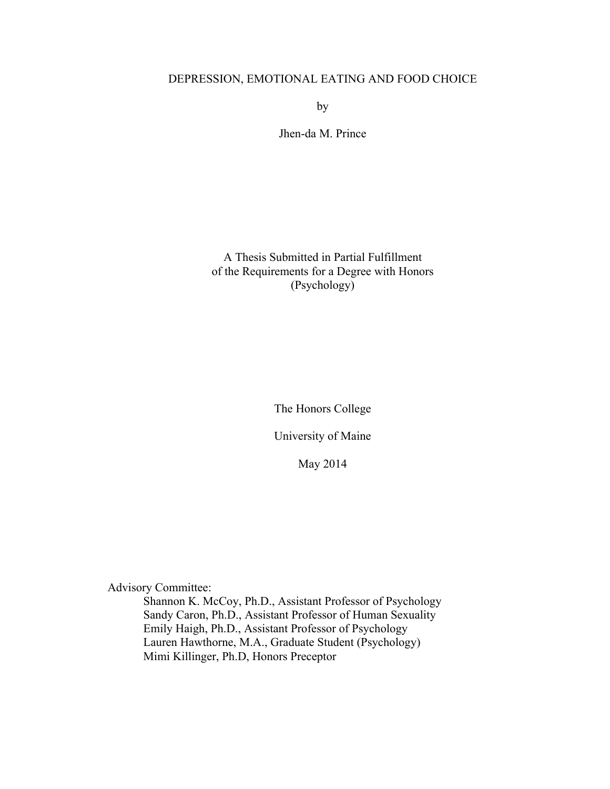# DEPRESSION, EMOTIONAL EATING AND FOOD CHOICE

by

Jhen-da M. Prince

A Thesis Submitted in Partial Fulfillment of the Requirements for a Degree with Honors (Psychology)

The Honors College

University of Maine

May 2014

Advisory Committee:

Shannon K. McCoy, Ph.D., Assistant Professor of Psychology Sandy Caron, Ph.D., Assistant Professor of Human Sexuality Emily Haigh, Ph.D., Assistant Professor of Psychology Lauren Hawthorne, M.A., Graduate Student (Psychology) Mimi Killinger, Ph.D, Honors Preceptor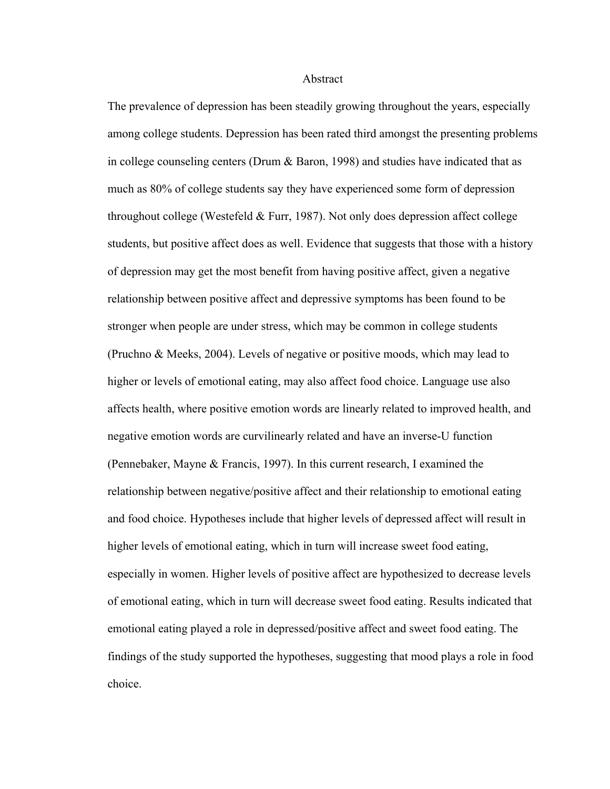#### Abstract

The prevalence of depression has been steadily growing throughout the years, especially among college students. Depression has been rated third amongst the presenting problems in college counseling centers (Drum & Baron, 1998) and studies have indicated that as much as 80% of college students say they have experienced some form of depression throughout college (Westefeld  $&$  Furr, 1987). Not only does depression affect college students, but positive affect does as well. Evidence that suggests that those with a history of depression may get the most benefit from having positive affect, given a negative relationship between positive affect and depressive symptoms has been found to be stronger when people are under stress, which may be common in college students (Pruchno & Meeks, 2004). Levels of negative or positive moods, which may lead to higher or levels of emotional eating, may also affect food choice. Language use also affects health, where positive emotion words are linearly related to improved health, and negative emotion words are curvilinearly related and have an inverse-U function (Pennebaker, Mayne & Francis, 1997). In this current research, I examined the relationship between negative/positive affect and their relationship to emotional eating and food choice. Hypotheses include that higher levels of depressed affect will result in higher levels of emotional eating, which in turn will increase sweet food eating, especially in women. Higher levels of positive affect are hypothesized to decrease levels of emotional eating, which in turn will decrease sweet food eating. Results indicated that emotional eating played a role in depressed/positive affect and sweet food eating. The findings of the study supported the hypotheses, suggesting that mood plays a role in food choice.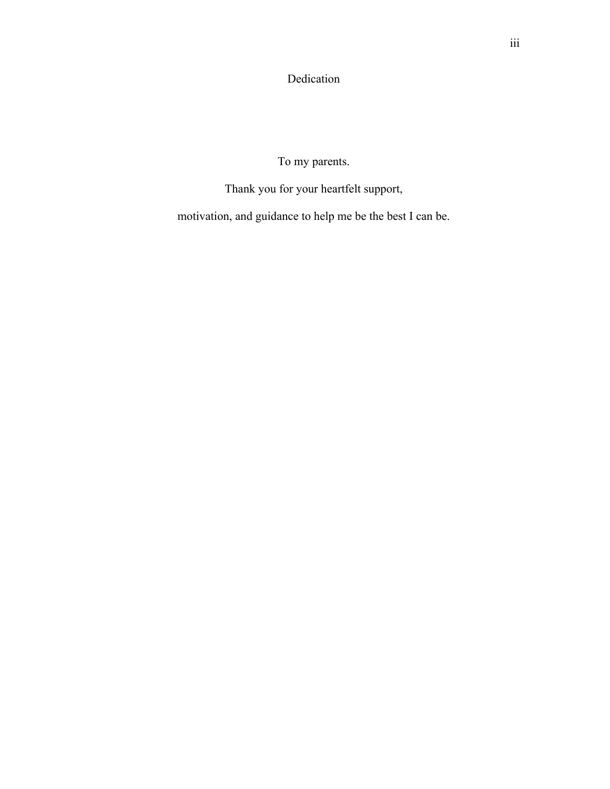Dedication

To my parents.

Thank you for your heartfelt support,

motivation, and guidance to help me be the best I can be.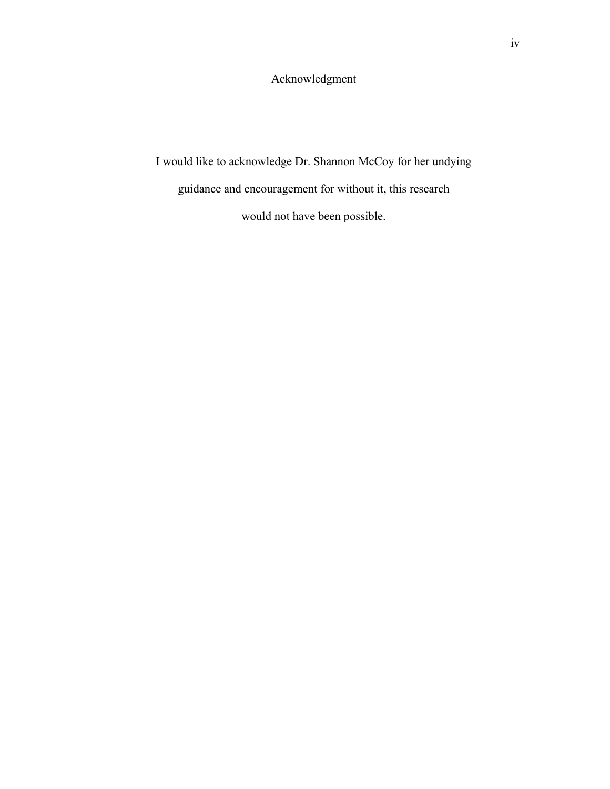Acknowledgment

I would like to acknowledge Dr. Shannon McCoy for her undying

guidance and encouragement for without it, this research

would not have been possible.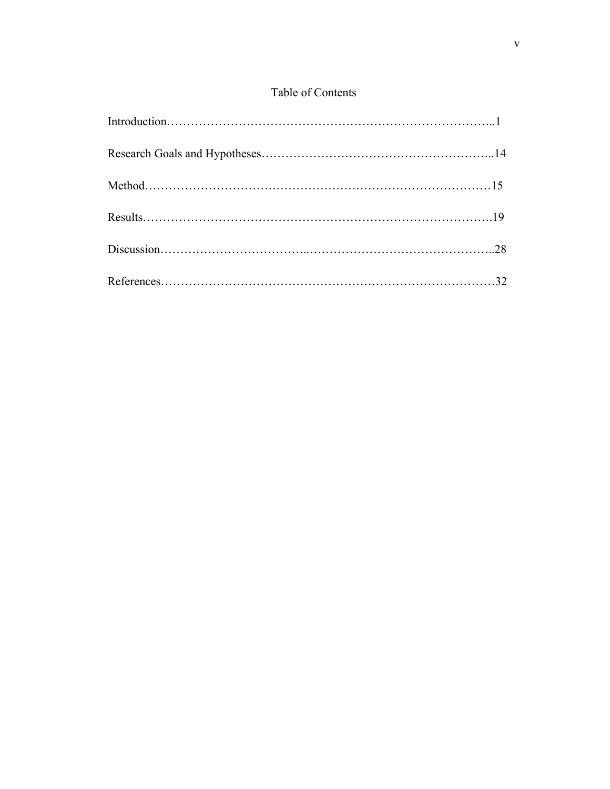# Table of Contents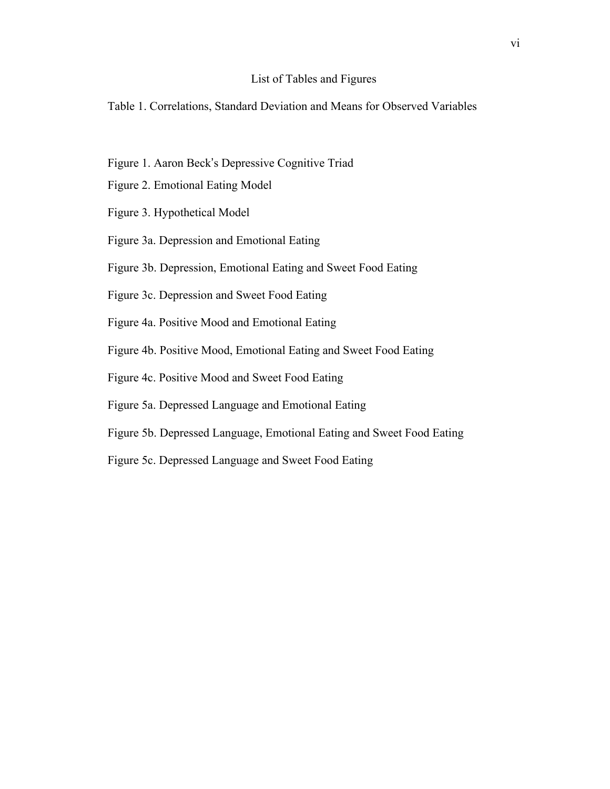# List of Tables and Figures

Table 1. Correlations, Standard Deviation and Means for Observed Variables

- Figure 1. Aaron Beck's Depressive Cognitive Triad
- Figure 2. Emotional Eating Model
- Figure 3. Hypothetical Model
- Figure 3a. Depression and Emotional Eating
- Figure 3b. Depression, Emotional Eating and Sweet Food Eating
- Figure 3c. Depression and Sweet Food Eating
- Figure 4a. Positive Mood and Emotional Eating
- Figure 4b. Positive Mood, Emotional Eating and Sweet Food Eating
- Figure 4c. Positive Mood and Sweet Food Eating
- Figure 5a. Depressed Language and Emotional Eating
- Figure 5b. Depressed Language, Emotional Eating and Sweet Food Eating
- Figure 5c. Depressed Language and Sweet Food Eating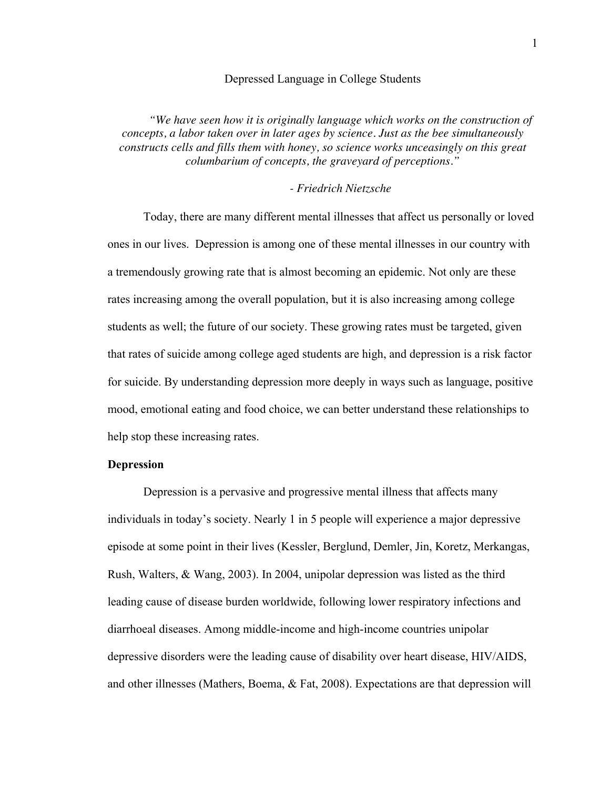### Depressed Language in College Students

*"We have seen how it is originally language which works on the construction of concepts, a labor taken over in later ages by science. Just as the bee simultaneously constructs cells and fills them with honey, so science works unceasingly on this great columbarium of concepts, the graveyard of perceptions."*

# *- Friedrich Nietzsche*

Today, there are many different mental illnesses that affect us personally or loved ones in our lives. Depression is among one of these mental illnesses in our country with a tremendously growing rate that is almost becoming an epidemic. Not only are these rates increasing among the overall population, but it is also increasing among college students as well; the future of our society. These growing rates must be targeted, given that rates of suicide among college aged students are high, and depression is a risk factor for suicide. By understanding depression more deeply in ways such as language, positive mood, emotional eating and food choice, we can better understand these relationships to help stop these increasing rates.

# **Depression**

Depression is a pervasive and progressive mental illness that affects many individuals in today's society. Nearly 1 in 5 people will experience a major depressive episode at some point in their lives (Kessler, Berglund, Demler, Jin, Koretz, Merkangas, Rush, Walters, & Wang, 2003). In 2004, unipolar depression was listed as the third leading cause of disease burden worldwide, following lower respiratory infections and diarrhoeal diseases. Among middle-income and high-income countries unipolar depressive disorders were the leading cause of disability over heart disease, HIV/AIDS, and other illnesses (Mathers, Boema, & Fat, 2008). Expectations are that depression will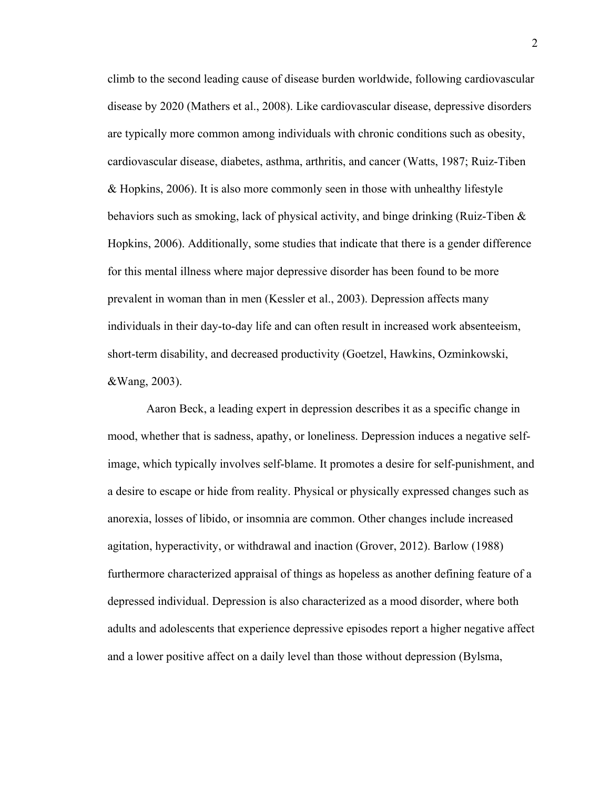climb to the second leading cause of disease burden worldwide, following cardiovascular disease by 2020 (Mathers et al., 2008). Like cardiovascular disease, depressive disorders are typically more common among individuals with chronic conditions such as obesity, cardiovascular disease, diabetes, asthma, arthritis, and cancer (Watts, 1987; Ruiz-Tiben & Hopkins, 2006). It is also more commonly seen in those with unhealthy lifestyle behaviors such as smoking, lack of physical activity, and binge drinking (Ruiz-Tiben & Hopkins, 2006). Additionally, some studies that indicate that there is a gender difference for this mental illness where major depressive disorder has been found to be more prevalent in woman than in men (Kessler et al., 2003). Depression affects many individuals in their day-to-day life and can often result in increased work absenteeism, short-term disability, and decreased productivity (Goetzel, Hawkins, Ozminkowski, &Wang, 2003).

Aaron Beck, a leading expert in depression describes it as a specific change in mood, whether that is sadness, apathy, or loneliness. Depression induces a negative selfimage, which typically involves self-blame. It promotes a desire for self-punishment, and a desire to escape or hide from reality. Physical or physically expressed changes such as anorexia, losses of libido, or insomnia are common. Other changes include increased agitation, hyperactivity, or withdrawal and inaction (Grover, 2012). Barlow (1988) furthermore characterized appraisal of things as hopeless as another defining feature of a depressed individual. Depression is also characterized as a mood disorder, where both adults and adolescents that experience depressive episodes report a higher negative affect and a lower positive affect on a daily level than those without depression (Bylsma,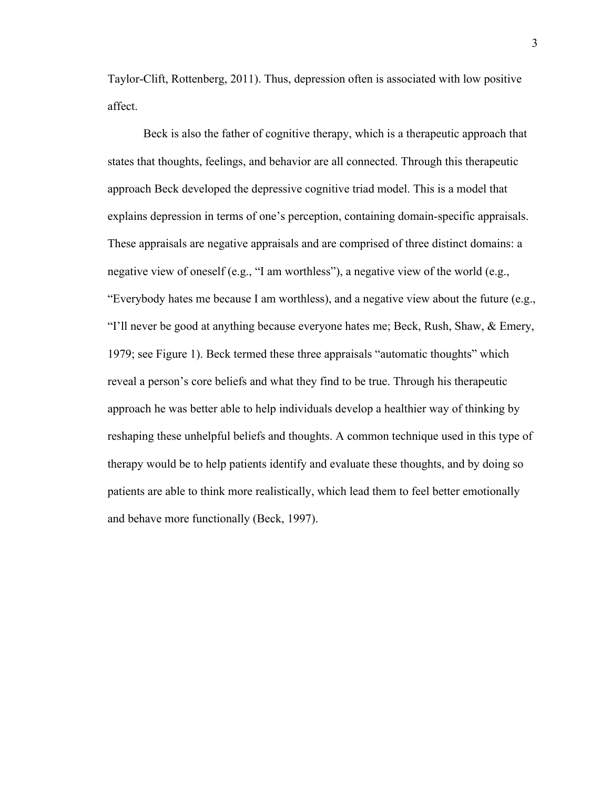Taylor-Clift, Rottenberg, 2011). Thus, depression often is associated with low positive affect.

Beck is also the father of cognitive therapy, which is a therapeutic approach that states that thoughts, feelings, and behavior are all connected. Through this therapeutic approach Beck developed the depressive cognitive triad model. This is a model that explains depression in terms of one's perception, containing domain-specific appraisals. These appraisals are negative appraisals and are comprised of three distinct domains: a negative view of oneself (e.g., "I am worthless"), a negative view of the world (e.g., "Everybody hates me because I am worthless), and a negative view about the future (e.g., "I'll never be good at anything because everyone hates me; Beck, Rush, Shaw, & Emery, 1979; see Figure 1). Beck termed these three appraisals "automatic thoughts" which reveal a person's core beliefs and what they find to be true. Through his therapeutic approach he was better able to help individuals develop a healthier way of thinking by reshaping these unhelpful beliefs and thoughts. A common technique used in this type of therapy would be to help patients identify and evaluate these thoughts, and by doing so patients are able to think more realistically, which lead them to feel better emotionally and behave more functionally (Beck, 1997).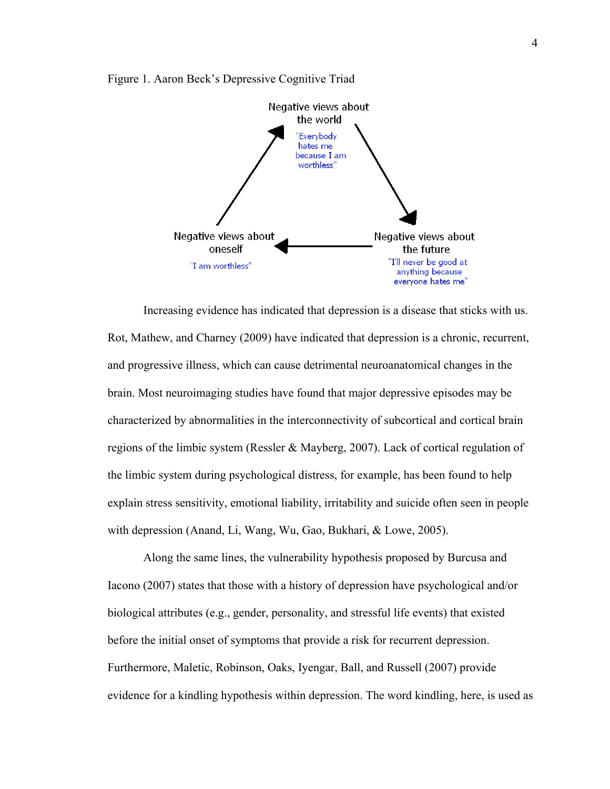

Figure 1. Aaron Beck's Depressive Cognitive Triad

Increasing evidence has indicated that depression is a disease that sticks with us. Rot, Mathew, and Charney (2009) have indicated that depression is a chronic, recurrent, and progressive illness, which can cause detrimental neuroanatomical changes in the brain. Most neuroimaging studies have found that major depressive episodes may be characterized by abnormalities in the interconnectivity of subcortical and cortical brain regions of the limbic system (Ressler & Mayberg, 2007). Lack of cortical regulation of the limbic system during psychological distress, for example, has been found to help explain stress sensitivity, emotional liability, irritability and suicide often seen in people with depression (Anand, Li, Wang, Wu, Gao, Bukhari, & Lowe, 2005).

Along the same lines, the vulnerability hypothesis proposed by Burcusa and Iacono (2007) states that those with a history of depression have psychological and/or biological attributes (e.g., gender, personality, and stressful life events) that existed before the initial onset of symptoms that provide a risk for recurrent depression. Furthermore, Maletic, Robinson, Oaks, Iyengar, Ball, and Russell (2007) provide evidence for a kindling hypothesis within depression. The word kindling, here, is used as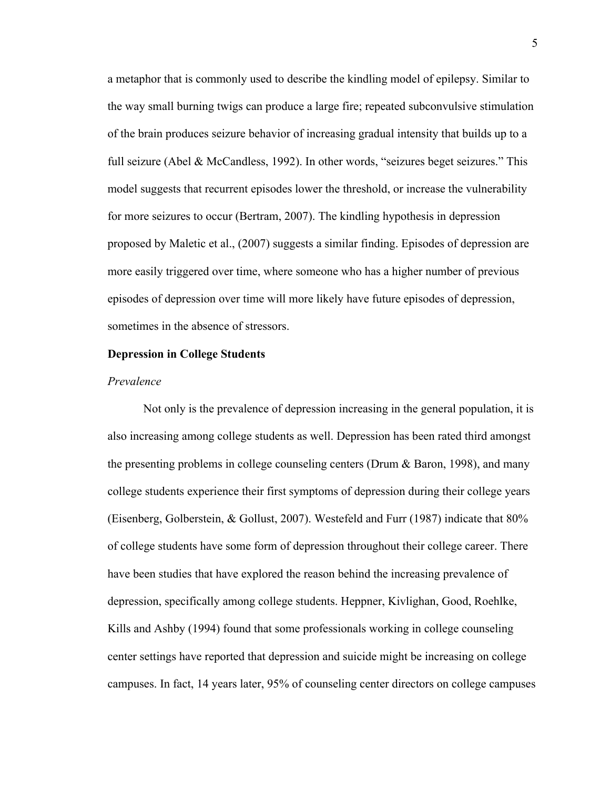a metaphor that is commonly used to describe the kindling model of epilepsy. Similar to the way small burning twigs can produce a large fire; repeated subconvulsive stimulation of the brain produces seizure behavior of increasing gradual intensity that builds up to a full seizure (Abel & McCandless, 1992). In other words, "seizures beget seizures." This model suggests that recurrent episodes lower the threshold, or increase the vulnerability for more seizures to occur (Bertram, 2007). The kindling hypothesis in depression proposed by Maletic et al., (2007) suggests a similar finding. Episodes of depression are more easily triggered over time, where someone who has a higher number of previous episodes of depression over time will more likely have future episodes of depression, sometimes in the absence of stressors.

#### **Depression in College Students**

### *Prevalence*

Not only is the prevalence of depression increasing in the general population, it is also increasing among college students as well. Depression has been rated third amongst the presenting problems in college counseling centers (Drum & Baron, 1998), and many college students experience their first symptoms of depression during their college years (Eisenberg, Golberstein, & Gollust, 2007). Westefeld and Furr (1987) indicate that 80% of college students have some form of depression throughout their college career. There have been studies that have explored the reason behind the increasing prevalence of depression, specifically among college students. Heppner, Kivlighan, Good, Roehlke, Kills and Ashby (1994) found that some professionals working in college counseling center settings have reported that depression and suicide might be increasing on college campuses. In fact, 14 years later, 95% of counseling center directors on college campuses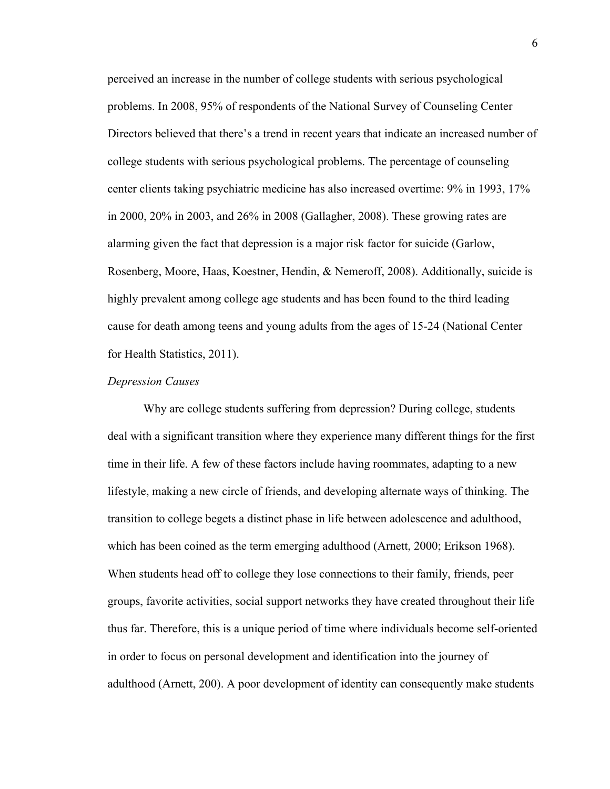perceived an increase in the number of college students with serious psychological problems. In 2008, 95% of respondents of the National Survey of Counseling Center Directors believed that there's a trend in recent years that indicate an increased number of college students with serious psychological problems. The percentage of counseling center clients taking psychiatric medicine has also increased overtime: 9% in 1993, 17% in 2000, 20% in 2003, and 26% in 2008 (Gallagher, 2008). These growing rates are alarming given the fact that depression is a major risk factor for suicide (Garlow, Rosenberg, Moore, Haas, Koestner, Hendin, & Nemeroff, 2008). Additionally, suicide is highly prevalent among college age students and has been found to the third leading cause for death among teens and young adults from the ages of 15-24 (National Center for Health Statistics, 2011).

#### *Depression Causes*

Why are college students suffering from depression? During college, students deal with a significant transition where they experience many different things for the first time in their life. A few of these factors include having roommates, adapting to a new lifestyle, making a new circle of friends, and developing alternate ways of thinking. The transition to college begets a distinct phase in life between adolescence and adulthood, which has been coined as the term emerging adulthood (Arnett, 2000; Erikson 1968). When students head off to college they lose connections to their family, friends, peer groups, favorite activities, social support networks they have created throughout their life thus far. Therefore, this is a unique period of time where individuals become self-oriented in order to focus on personal development and identification into the journey of adulthood (Arnett, 200). A poor development of identity can consequently make students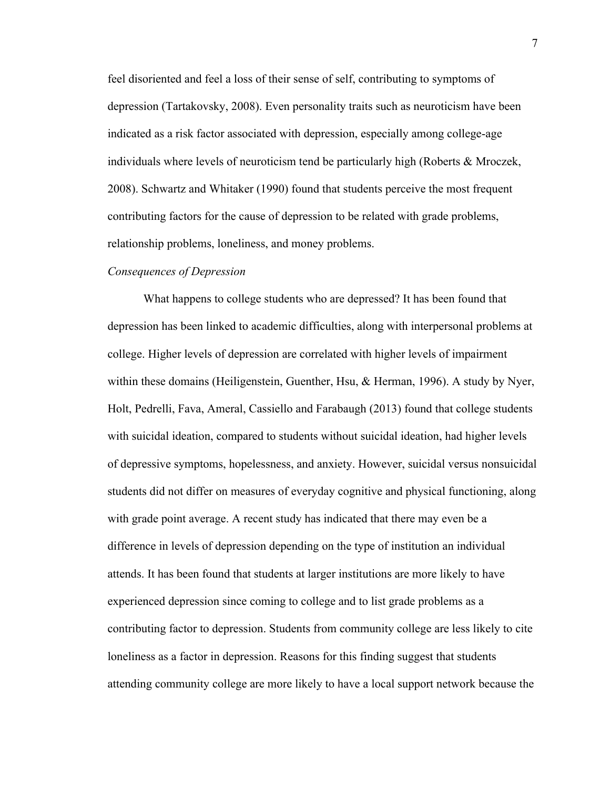feel disoriented and feel a loss of their sense of self, contributing to symptoms of depression (Tartakovsky, 2008). Even personality traits such as neuroticism have been indicated as a risk factor associated with depression, especially among college-age individuals where levels of neuroticism tend be particularly high (Roberts & Mroczek, 2008). Schwartz and Whitaker (1990) found that students perceive the most frequent contributing factors for the cause of depression to be related with grade problems, relationship problems, loneliness, and money problems.

#### *Consequences of Depression*

What happens to college students who are depressed? It has been found that depression has been linked to academic difficulties, along with interpersonal problems at college. Higher levels of depression are correlated with higher levels of impairment within these domains (Heiligenstein, Guenther, Hsu, & Herman, 1996). A study by Nyer, Holt, Pedrelli, Fava, Ameral, Cassiello and Farabaugh (2013) found that college students with suicidal ideation, compared to students without suicidal ideation, had higher levels of depressive symptoms, hopelessness, and anxiety. However, suicidal versus nonsuicidal students did not differ on measures of everyday cognitive and physical functioning, along with grade point average. A recent study has indicated that there may even be a difference in levels of depression depending on the type of institution an individual attends. It has been found that students at larger institutions are more likely to have experienced depression since coming to college and to list grade problems as a contributing factor to depression. Students from community college are less likely to cite loneliness as a factor in depression. Reasons for this finding suggest that students attending community college are more likely to have a local support network because the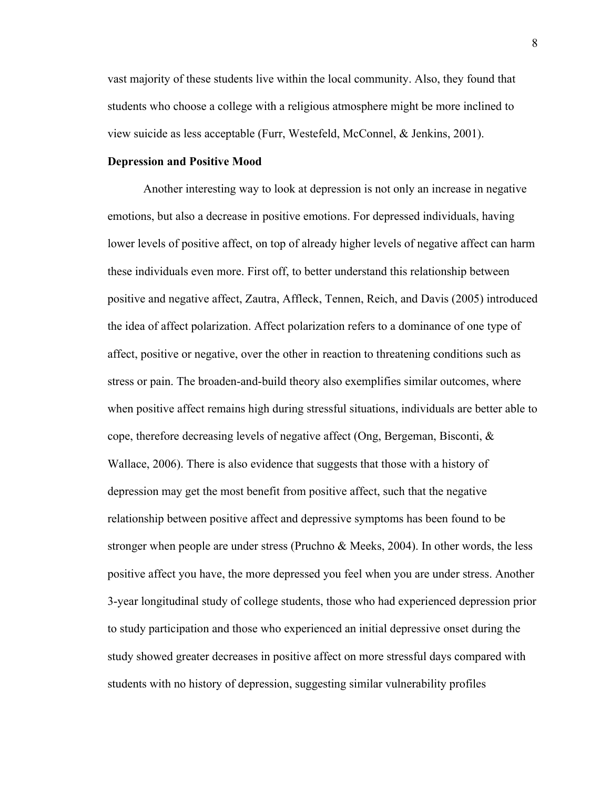vast majority of these students live within the local community. Also, they found that students who choose a college with a religious atmosphere might be more inclined to view suicide as less acceptable (Furr, Westefeld, McConnel, & Jenkins, 2001).

# **Depression and Positive Mood**

Another interesting way to look at depression is not only an increase in negative emotions, but also a decrease in positive emotions. For depressed individuals, having lower levels of positive affect, on top of already higher levels of negative affect can harm these individuals even more. First off, to better understand this relationship between positive and negative affect, Zautra, Affleck, Tennen, Reich, and Davis (2005) introduced the idea of affect polarization. Affect polarization refers to a dominance of one type of affect, positive or negative, over the other in reaction to threatening conditions such as stress or pain. The broaden-and-build theory also exemplifies similar outcomes, where when positive affect remains high during stressful situations, individuals are better able to cope, therefore decreasing levels of negative affect (Ong, Bergeman, Bisconti, & Wallace, 2006). There is also evidence that suggests that those with a history of depression may get the most benefit from positive affect, such that the negative relationship between positive affect and depressive symptoms has been found to be stronger when people are under stress (Pruchno & Meeks, 2004). In other words, the less positive affect you have, the more depressed you feel when you are under stress. Another 3-year longitudinal study of college students, those who had experienced depression prior to study participation and those who experienced an initial depressive onset during the study showed greater decreases in positive affect on more stressful days compared with students with no history of depression, suggesting similar vulnerability profiles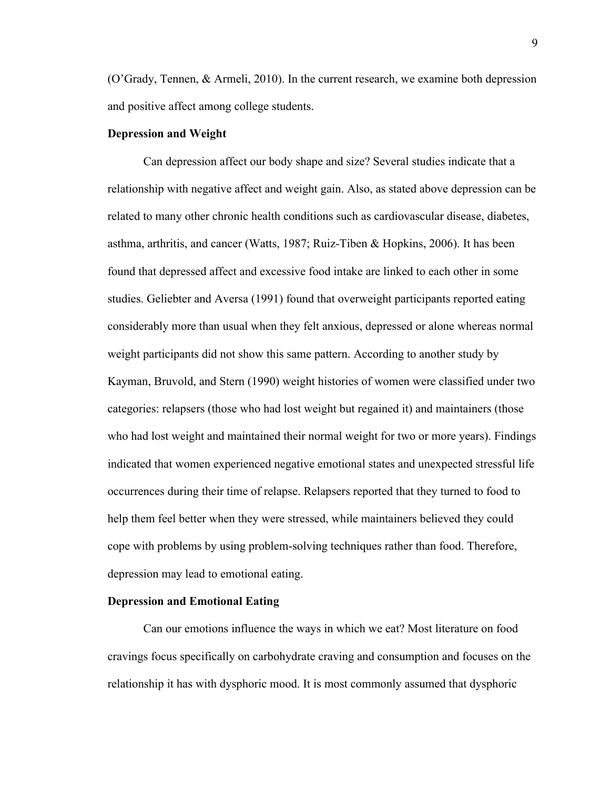(O'Grady, Tennen, & Armeli, 2010). In the current research, we examine both depression and positive affect among college students.

#### **Depression and Weight**

Can depression affect our body shape and size? Several studies indicate that a relationship with negative affect and weight gain. Also, as stated above depression can be related to many other chronic health conditions such as cardiovascular disease, diabetes, asthma, arthritis, and cancer (Watts, 1987; Ruiz-Tiben & Hopkins, 2006). It has been found that depressed affect and excessive food intake are linked to each other in some studies. Geliebter and Aversa (1991) found that overweight participants reported eating considerably more than usual when they felt anxious, depressed or alone whereas normal weight participants did not show this same pattern. According to another study by Kayman, Bruvold, and Stern (1990) weight histories of women were classified under two categories: relapsers (those who had lost weight but regained it) and maintainers (those who had lost weight and maintained their normal weight for two or more years). Findings indicated that women experienced negative emotional states and unexpected stressful life occurrences during their time of relapse. Relapsers reported that they turned to food to help them feel better when they were stressed, while maintainers believed they could cope with problems by using problem-solving techniques rather than food. Therefore, depression may lead to emotional eating.

#### **Depression and Emotional Eating**

Can our emotions influence the ways in which we eat? Most literature on food cravings focus specifically on carbohydrate craving and consumption and focuses on the relationship it has with dysphoric mood. It is most commonly assumed that dysphoric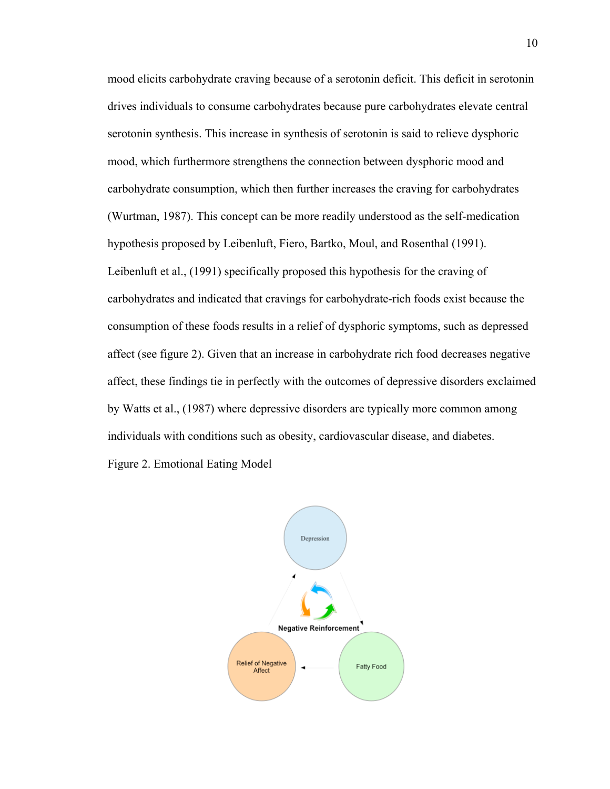mood elicits carbohydrate craving because of a serotonin deficit. This deficit in serotonin drives individuals to consume carbohydrates because pure carbohydrates elevate central serotonin synthesis. This increase in synthesis of serotonin is said to relieve dysphoric mood, which furthermore strengthens the connection between dysphoric mood and carbohydrate consumption, which then further increases the craving for carbohydrates (Wurtman, 1987). This concept can be more readily understood as the self-medication hypothesis proposed by Leibenluft, Fiero, Bartko, Moul, and Rosenthal (1991). Leibenluft et al., (1991) specifically proposed this hypothesis for the craving of carbohydrates and indicated that cravings for carbohydrate-rich foods exist because the consumption of these foods results in a relief of dysphoric symptoms, such as depressed affect (see figure 2). Given that an increase in carbohydrate rich food decreases negative affect, these findings tie in perfectly with the outcomes of depressive disorders exclaimed by Watts et al., (1987) where depressive disorders are typically more common among individuals with conditions such as obesity, cardiovascular disease, and diabetes.

Figure 2. Emotional Eating Model

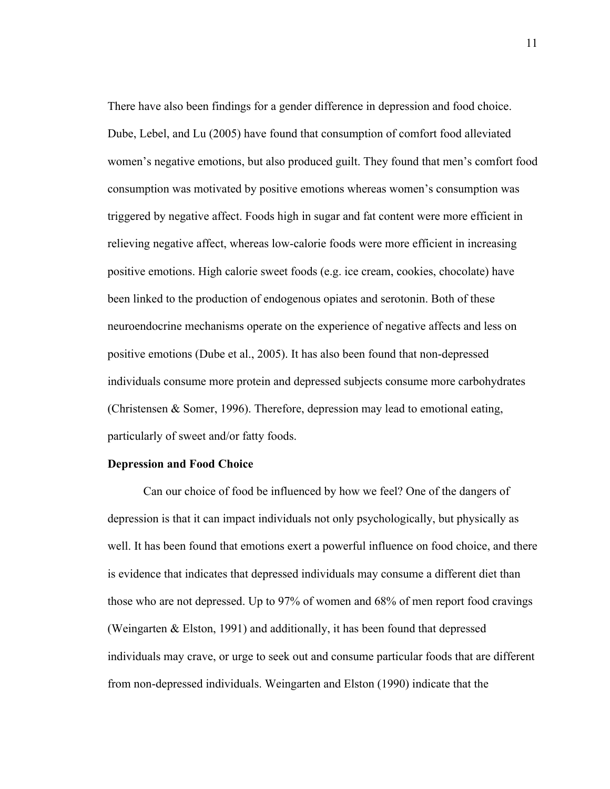There have also been findings for a gender difference in depression and food choice. Dube, Lebel, and Lu (2005) have found that consumption of comfort food alleviated women's negative emotions, but also produced guilt. They found that men's comfort food consumption was motivated by positive emotions whereas women's consumption was triggered by negative affect. Foods high in sugar and fat content were more efficient in relieving negative affect, whereas low-calorie foods were more efficient in increasing positive emotions. High calorie sweet foods (e.g. ice cream, cookies, chocolate) have been linked to the production of endogenous opiates and serotonin. Both of these neuroendocrine mechanisms operate on the experience of negative affects and less on positive emotions (Dube et al., 2005). It has also been found that non-depressed individuals consume more protein and depressed subjects consume more carbohydrates (Christensen & Somer, 1996). Therefore, depression may lead to emotional eating, particularly of sweet and/or fatty foods.

## **Depression and Food Choice**

Can our choice of food be influenced by how we feel? One of the dangers of depression is that it can impact individuals not only psychologically, but physically as well. It has been found that emotions exert a powerful influence on food choice, and there is evidence that indicates that depressed individuals may consume a different diet than those who are not depressed. Up to 97% of women and 68% of men report food cravings (Weingarten & Elston, 1991) and additionally, it has been found that depressed individuals may crave, or urge to seek out and consume particular foods that are different from non-depressed individuals. Weingarten and Elston (1990) indicate that the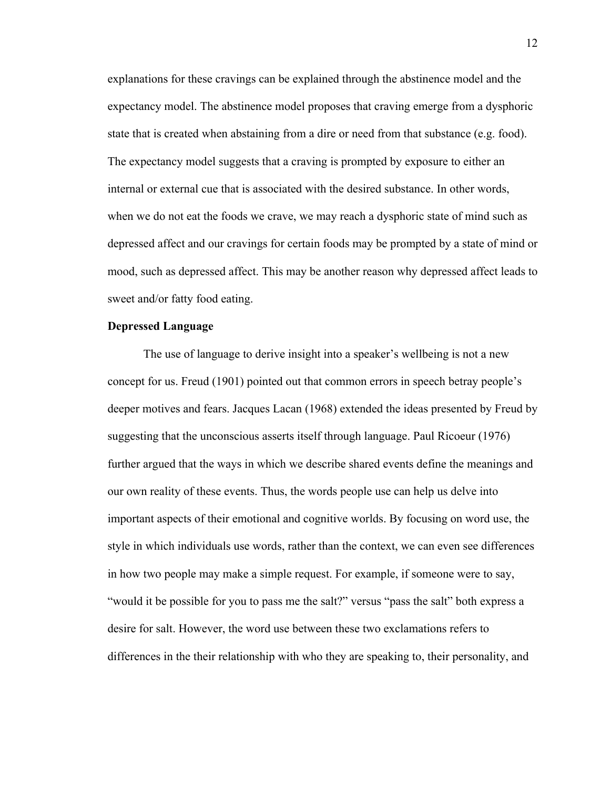explanations for these cravings can be explained through the abstinence model and the expectancy model. The abstinence model proposes that craving emerge from a dysphoric state that is created when abstaining from a dire or need from that substance (e.g. food). The expectancy model suggests that a craving is prompted by exposure to either an internal or external cue that is associated with the desired substance. In other words, when we do not eat the foods we crave, we may reach a dysphoric state of mind such as depressed affect and our cravings for certain foods may be prompted by a state of mind or mood, such as depressed affect. This may be another reason why depressed affect leads to sweet and/or fatty food eating.

### **Depressed Language**

The use of language to derive insight into a speaker's wellbeing is not a new concept for us. Freud (1901) pointed out that common errors in speech betray people's deeper motives and fears. Jacques Lacan (1968) extended the ideas presented by Freud by suggesting that the unconscious asserts itself through language. Paul Ricoeur (1976) further argued that the ways in which we describe shared events define the meanings and our own reality of these events. Thus, the words people use can help us delve into important aspects of their emotional and cognitive worlds. By focusing on word use, the style in which individuals use words, rather than the context, we can even see differences in how two people may make a simple request. For example, if someone were to say, "would it be possible for you to pass me the salt?" versus "pass the salt" both express a desire for salt. However, the word use between these two exclamations refers to differences in the their relationship with who they are speaking to, their personality, and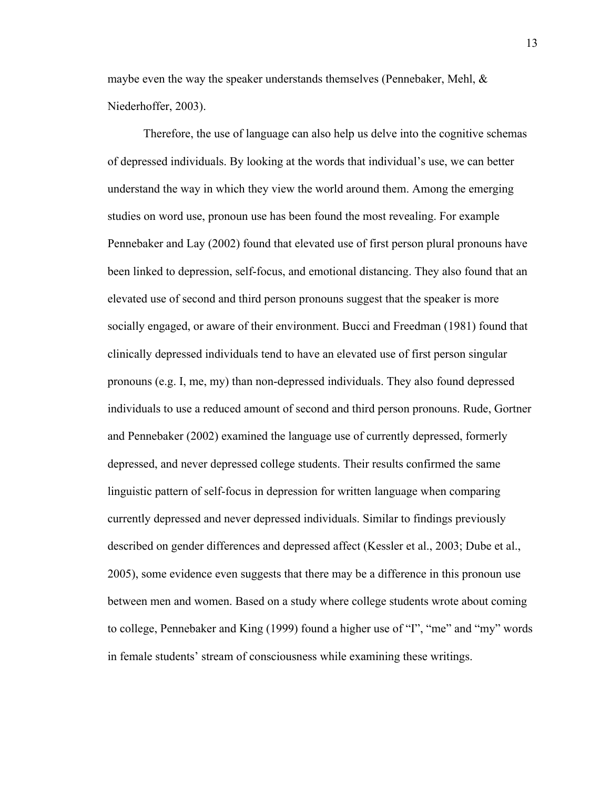maybe even the way the speaker understands themselves (Pennebaker, Mehl,  $\&$ Niederhoffer, 2003).

Therefore, the use of language can also help us delve into the cognitive schemas of depressed individuals. By looking at the words that individual's use, we can better understand the way in which they view the world around them. Among the emerging studies on word use, pronoun use has been found the most revealing. For example Pennebaker and Lay (2002) found that elevated use of first person plural pronouns have been linked to depression, self-focus, and emotional distancing. They also found that an elevated use of second and third person pronouns suggest that the speaker is more socially engaged, or aware of their environment. Bucci and Freedman (1981) found that clinically depressed individuals tend to have an elevated use of first person singular pronouns (e.g. I, me, my) than non-depressed individuals. They also found depressed individuals to use a reduced amount of second and third person pronouns. Rude, Gortner and Pennebaker (2002) examined the language use of currently depressed, formerly depressed, and never depressed college students. Their results confirmed the same linguistic pattern of self-focus in depression for written language when comparing currently depressed and never depressed individuals. Similar to findings previously described on gender differences and depressed affect (Kessler et al., 2003; Dube et al., 2005), some evidence even suggests that there may be a difference in this pronoun use between men and women. Based on a study where college students wrote about coming to college, Pennebaker and King (1999) found a higher use of "I", "me" and "my" words in female students' stream of consciousness while examining these writings.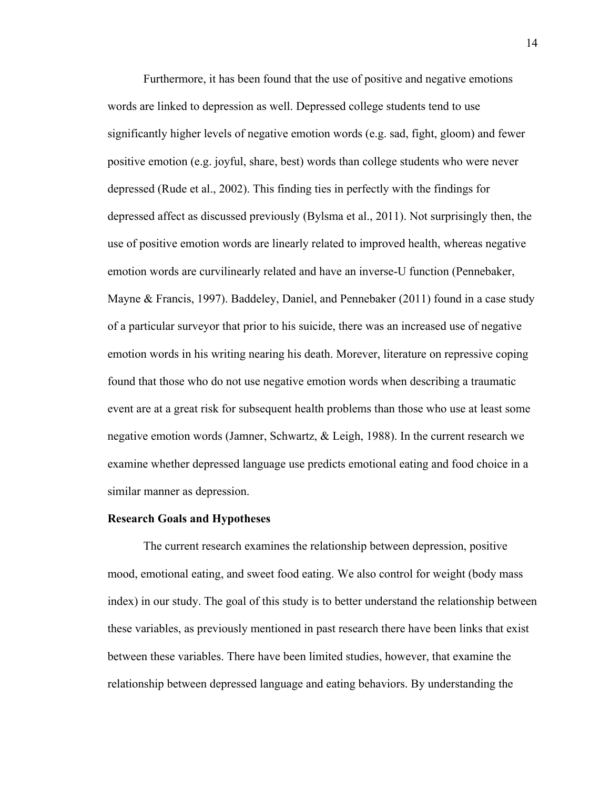Furthermore, it has been found that the use of positive and negative emotions words are linked to depression as well. Depressed college students tend to use significantly higher levels of negative emotion words (e.g. sad, fight, gloom) and fewer positive emotion (e.g. joyful, share, best) words than college students who were never depressed (Rude et al., 2002). This finding ties in perfectly with the findings for depressed affect as discussed previously (Bylsma et al., 2011). Not surprisingly then, the use of positive emotion words are linearly related to improved health, whereas negative emotion words are curvilinearly related and have an inverse-U function (Pennebaker, Mayne & Francis, 1997). Baddeley, Daniel, and Pennebaker (2011) found in a case study of a particular surveyor that prior to his suicide, there was an increased use of negative emotion words in his writing nearing his death. Morever, literature on repressive coping found that those who do not use negative emotion words when describing a traumatic event are at a great risk for subsequent health problems than those who use at least some negative emotion words (Jamner, Schwartz, & Leigh, 1988). In the current research we examine whether depressed language use predicts emotional eating and food choice in a similar manner as depression.

### **Research Goals and Hypotheses**

The current research examines the relationship between depression, positive mood, emotional eating, and sweet food eating. We also control for weight (body mass index) in our study. The goal of this study is to better understand the relationship between these variables, as previously mentioned in past research there have been links that exist between these variables. There have been limited studies, however, that examine the relationship between depressed language and eating behaviors. By understanding the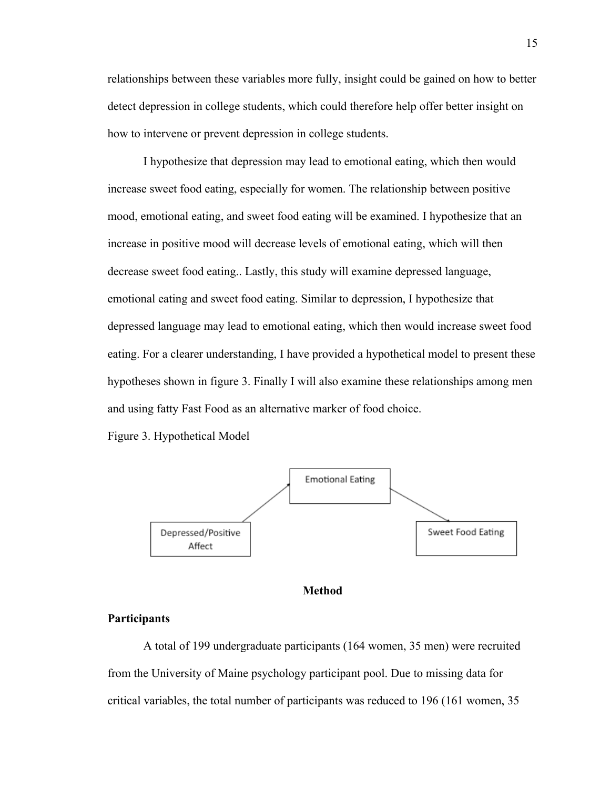relationships between these variables more fully, insight could be gained on how to better detect depression in college students, which could therefore help offer better insight on how to intervene or prevent depression in college students.

I hypothesize that depression may lead to emotional eating, which then would increase sweet food eating, especially for women. The relationship between positive mood, emotional eating, and sweet food eating will be examined. I hypothesize that an increase in positive mood will decrease levels of emotional eating, which will then decrease sweet food eating.. Lastly, this study will examine depressed language, emotional eating and sweet food eating. Similar to depression, I hypothesize that depressed language may lead to emotional eating, which then would increase sweet food eating. For a clearer understanding, I have provided a hypothetical model to present these hypotheses shown in figure 3. Finally I will also examine these relationships among men and using fatty Fast Food as an alternative marker of food choice.

Figure 3. Hypothetical Model



### **Method**

# **Participants**

A total of 199 undergraduate participants (164 women, 35 men) were recruited from the University of Maine psychology participant pool. Due to missing data for critical variables, the total number of participants was reduced to 196 (161 women, 35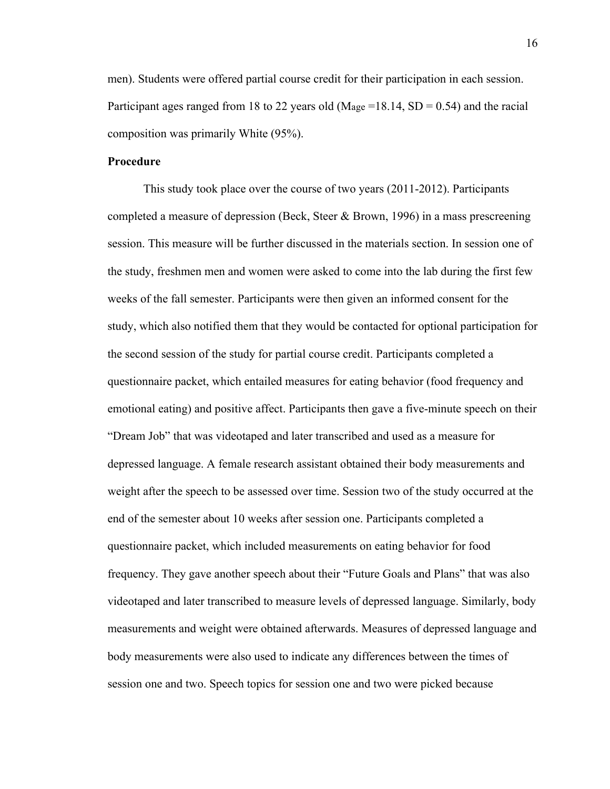men). Students were offered partial course credit for their participation in each session. Participant ages ranged from 18 to 22 years old (Mage =18.14,  $SD = 0.54$ ) and the racial composition was primarily White (95%).

# **Procedure**

This study took place over the course of two years (2011-2012). Participants completed a measure of depression (Beck, Steer & Brown, 1996) in a mass prescreening session. This measure will be further discussed in the materials section. In session one of the study, freshmen men and women were asked to come into the lab during the first few weeks of the fall semester. Participants were then given an informed consent for the study, which also notified them that they would be contacted for optional participation for the second session of the study for partial course credit. Participants completed a questionnaire packet, which entailed measures for eating behavior (food frequency and emotional eating) and positive affect. Participants then gave a five-minute speech on their "Dream Job" that was videotaped and later transcribed and used as a measure for depressed language. A female research assistant obtained their body measurements and weight after the speech to be assessed over time. Session two of the study occurred at the end of the semester about 10 weeks after session one. Participants completed a questionnaire packet, which included measurements on eating behavior for food frequency. They gave another speech about their "Future Goals and Plans" that was also videotaped and later transcribed to measure levels of depressed language. Similarly, body measurements and weight were obtained afterwards. Measures of depressed language and body measurements were also used to indicate any differences between the times of session one and two. Speech topics for session one and two were picked because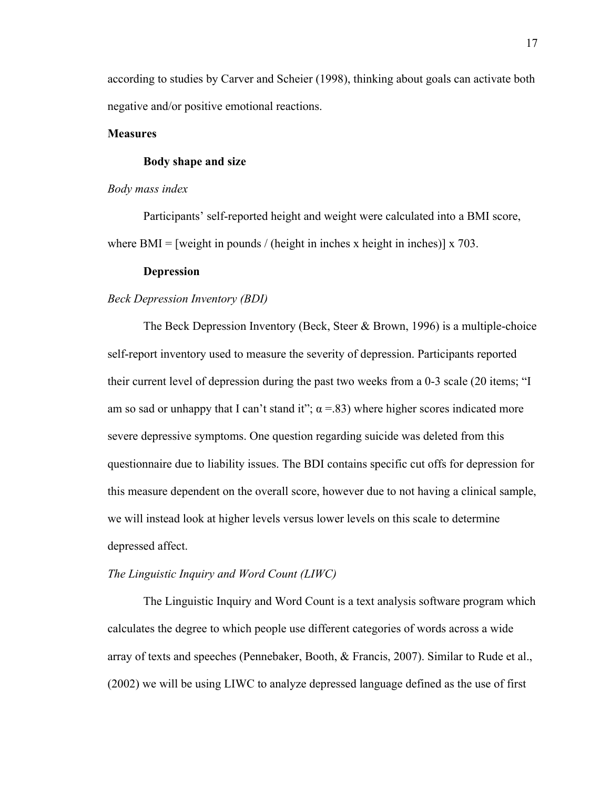according to studies by Carver and Scheier (1998), thinking about goals can activate both negative and/or positive emotional reactions.

# **Measures**

# **Body shape and size**

#### *Body mass index*

Participants' self-reported height and weight were calculated into a BMI score, where BMI = [weight in pounds / (height in inches x height in inches)] x 703.

#### **Depression**

### *Beck Depression Inventory (BDI)*

The Beck Depression Inventory (Beck, Steer & Brown, 1996) is a multiple-choice self-report inventory used to measure the severity of depression. Participants reported their current level of depression during the past two weeks from a 0-3 scale (20 items; "I am so sad or unhappy that I can't stand it";  $\alpha$  =.83) where higher scores indicated more severe depressive symptoms. One question regarding suicide was deleted from this questionnaire due to liability issues. The BDI contains specific cut offs for depression for this measure dependent on the overall score, however due to not having a clinical sample, we will instead look at higher levels versus lower levels on this scale to determine depressed affect.

#### *The Linguistic Inquiry and Word Count (LIWC)*

The Linguistic Inquiry and Word Count is a text analysis software program which calculates the degree to which people use different categories of words across a wide array of texts and speeches (Pennebaker, Booth, & Francis, 2007). Similar to Rude et al., (2002) we will be using LIWC to analyze depressed language defined as the use of first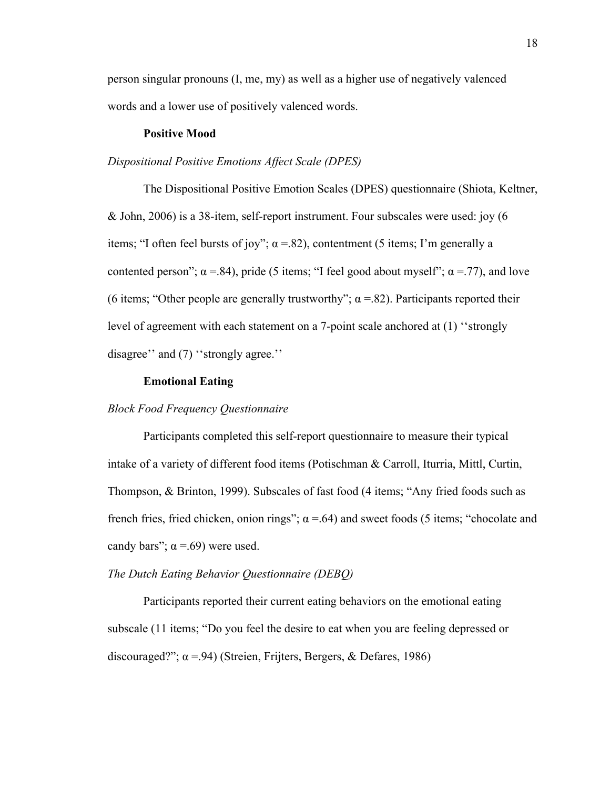person singular pronouns (I, me, my) as well as a higher use of negatively valenced words and a lower use of positively valenced words.

## **Positive Mood**

# *Dispositional Positive Emotions Affect Scale (DPES)*

The Dispositional Positive Emotion Scales (DPES) questionnaire (Shiota, Keltner, & John, 2006) is a 38-item, self-report instrument. Four subscales were used: joy (6 items; "I often feel bursts of joy";  $\alpha$  =.82), contentment (5 items; I'm generally a contented person";  $\alpha$  =.84), pride (5 items; "I feel good about myself";  $\alpha$  =.77), and love (6 items; "Other people are generally trustworthy";  $\alpha$  = 82). Participants reported their level of agreement with each statement on a 7-point scale anchored at (1) ''strongly disagree'' and (7) ''strongly agree.''

# **Emotional Eating**

# *Block Food Frequency Questionnaire*

Participants completed this self-report questionnaire to measure their typical intake of a variety of different food items (Potischman & Carroll, Iturria, Mittl, Curtin, Thompson, & Brinton, 1999). Subscales of fast food (4 items; "Any fried foods such as french fries, fried chicken, onion rings";  $\alpha$  =.64) and sweet foods (5 items; "chocolate and candy bars";  $\alpha = .69$ ) were used.

#### *The Dutch Eating Behavior Questionnaire (DEBQ)*

Participants reported their current eating behaviors on the emotional eating subscale (11 items; "Do you feel the desire to eat when you are feeling depressed or discouraged?"; α =.94) (Streien, Frijters, Bergers, & Defares, 1986)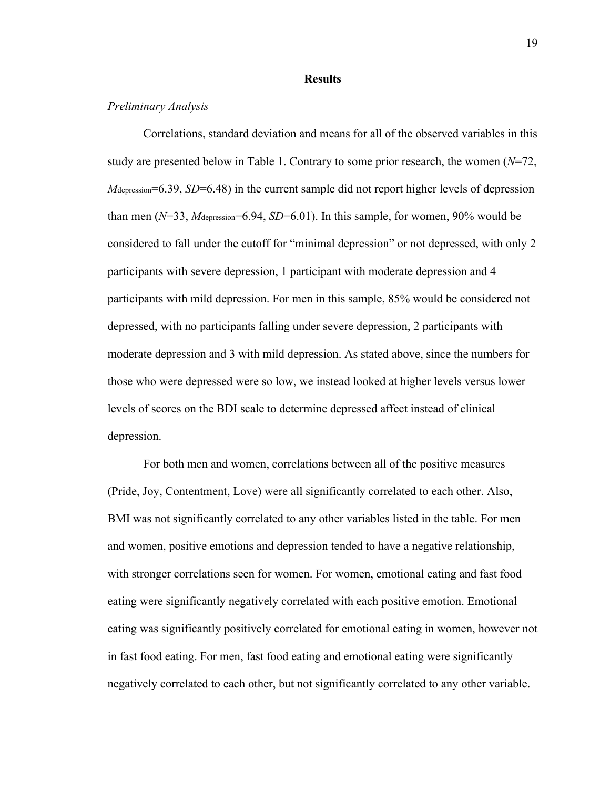### **Results**

# *Preliminary Analysis*

Correlations, standard deviation and means for all of the observed variables in this study are presented below in Table 1. Contrary to some prior research, the women (*N*=72, *M*depression=6.39, *SD*=6.48) in the current sample did not report higher levels of depression than men  $(N=33, M_{\text{depression}}=6.94, SD=6.01)$ . In this sample, for women, 90% would be considered to fall under the cutoff for "minimal depression" or not depressed, with only 2 participants with severe depression, 1 participant with moderate depression and 4 participants with mild depression. For men in this sample, 85% would be considered not depressed, with no participants falling under severe depression, 2 participants with moderate depression and 3 with mild depression. As stated above, since the numbers for those who were depressed were so low, we instead looked at higher levels versus lower levels of scores on the BDI scale to determine depressed affect instead of clinical depression.

For both men and women, correlations between all of the positive measures (Pride, Joy, Contentment, Love) were all significantly correlated to each other. Also, BMI was not significantly correlated to any other variables listed in the table. For men and women, positive emotions and depression tended to have a negative relationship, with stronger correlations seen for women. For women, emotional eating and fast food eating were significantly negatively correlated with each positive emotion. Emotional eating was significantly positively correlated for emotional eating in women, however not in fast food eating. For men, fast food eating and emotional eating were significantly negatively correlated to each other, but not significantly correlated to any other variable.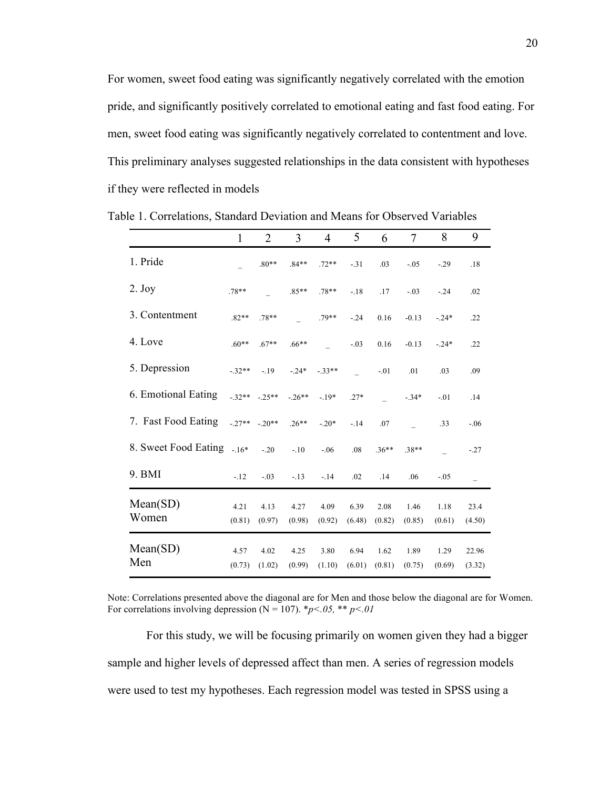For women, sweet food eating was significantly negatively correlated with the emotion pride, and significantly positively correlated to emotional eating and fast food eating. For men, sweet food eating was significantly negatively correlated to contentment and love. This preliminary analyses suggested relationships in the data consistent with hypotheses if they were reflected in models

|                            | $\mathbf{1}$   | $\overline{2}$ | $\overline{3}$ | $\overline{4}$ | 5              | 6              | $\overline{7}$ | 8              | 9               |
|----------------------------|----------------|----------------|----------------|----------------|----------------|----------------|----------------|----------------|-----------------|
| 1. Pride                   |                | $.80**$        | $.84**$        | $.72**$        | $-.31$         | .03            | $-.05$         | $-.29$         | .18             |
| $2.$ Joy                   | $.78**$        |                | $.85**$        | $.78**$        | $-.18$         | .17            | $-.03$         | $-.24$         | .02             |
| 3. Contentment             | $.82**$        | $.78**$        |                | .79**          | $-24$          | 0.16           | $-0.13$        | $-.24*$        | .22             |
| 4. Love                    | $.60**$        | $.67**$        | $.66***$       |                | $-.03$         | 0.16           | $-0.13$        | $-.24*$        | .22             |
| 5. Depression              | $-.32**$       | $-19$          | $-.24*$        | $-.33**$       |                | $-.01$         | .01            | .03            | .09             |
| 6. Emotional Eating        |                | $-32** -25**$  | $-26**$        | $-.19*$        | $.27*$         |                | $-.34*$        | $-.01$         | .14             |
| 7. Fast Food Eating        | $-.27**-.20**$ |                | $.26**$        | $-.20*$        | $-14$          | .07            |                | .33            | $-.06$          |
| 8. Sweet Food Eating - 16* |                | $-20$          | $-.10$         | $-.06$         | .08            | $.36**$        | $.38**$        |                | $-.27$          |
| 9. BMI                     | $-.12$         | $-.03$         | $-.13$         | $-14$          | .02            | .14            | .06            | $-.05$         | $\overline{a}$  |
| Mean(SD)<br>Women          | 4.21<br>(0.81) | 4.13<br>(0.97) | 4.27<br>(0.98) | 4.09<br>(0.92) | 6.39<br>(6.48) | 2.08<br>(0.82) | 1.46<br>(0.85) | 1.18<br>(0.61) | 23.4<br>(4.50)  |
| Mean(SD)<br>Men            | 4.57<br>(0.73) | 4.02<br>(1.02) | 4.25<br>(0.99) | 3.80<br>(1.10) | 6.94<br>(6.01) | 1.62<br>(0.81) | 1.89<br>(0.75) | 1.29<br>(0.69) | 22.96<br>(3.32) |

Table 1. Correlations, Standard Deviation and Means for Observed Variables

Note: Correlations presented above the diagonal are for Men and those below the diagonal are for Women. For correlations involving depression ( $N = 107$ ).  $\frac{b}{c}$  *p<.05,* \*\* *p<.01* 

For this study, we will be focusing primarily on women given they had a bigger sample and higher levels of depressed affect than men. A series of regression models were used to test my hypotheses. Each regression model was tested in SPSS using a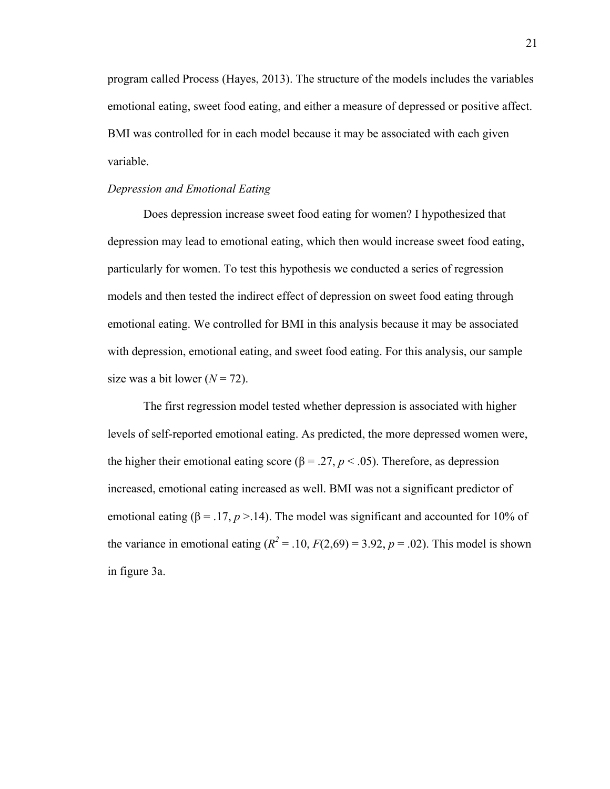program called Process (Hayes, 2013). The structure of the models includes the variables emotional eating, sweet food eating, and either a measure of depressed or positive affect. BMI was controlled for in each model because it may be associated with each given variable.

# *Depression and Emotional Eating*

Does depression increase sweet food eating for women? I hypothesized that depression may lead to emotional eating, which then would increase sweet food eating, particularly for women. To test this hypothesis we conducted a series of regression models and then tested the indirect effect of depression on sweet food eating through emotional eating. We controlled for BMI in this analysis because it may be associated with depression, emotional eating, and sweet food eating. For this analysis, our sample size was a bit lower  $(N = 72)$ .

The first regression model tested whether depression is associated with higher levels of self-reported emotional eating. As predicted, the more depressed women were, the higher their emotional eating score ( $\beta$  = .27, *p* < .05). Therefore, as depression increased, emotional eating increased as well. BMI was not a significant predictor of emotional eating ( $\beta = 0.17$ ,  $p > 0.14$ ). The model was significant and accounted for 10% of the variance in emotional eating  $(R^2 = .10, F(2.69) = 3.92, p = .02)$ . This model is shown in figure 3a.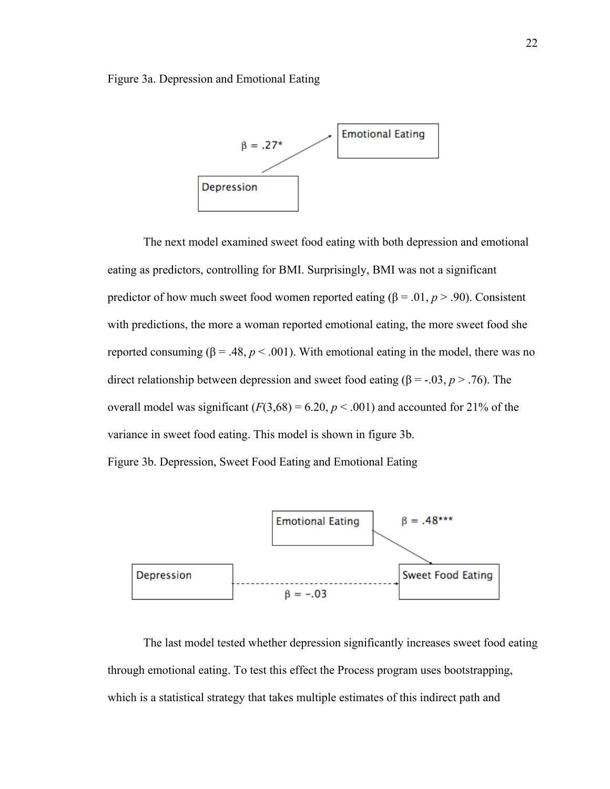Figure 3a. Depression and Emotional Eating



The next model examined sweet food eating with both depression and emotional eating as predictors, controlling for BMI. Surprisingly, BMI was not a significant predictor of how much sweet food women reported eating ( $\beta$  = .01, *p* > .90). Consistent with predictions, the more a woman reported emotional eating, the more sweet food she reported consuming ( $β = .48, p < .001$ ). With emotional eating in the model, there was no direct relationship between depression and sweet food eating ( $\beta$  = -.03, *p* > .76). The overall model was significant  $(F(3,68) = 6.20, p < .001)$  and accounted for 21% of the variance in sweet food eating. This model is shown in figure 3b.

Figure 3b. Depression, Sweet Food Eating and Emotional Eating



The last model tested whether depression significantly increases sweet food eating through emotional eating. To test this effect the Process program uses bootstrapping, which is a statistical strategy that takes multiple estimates of this indirect path and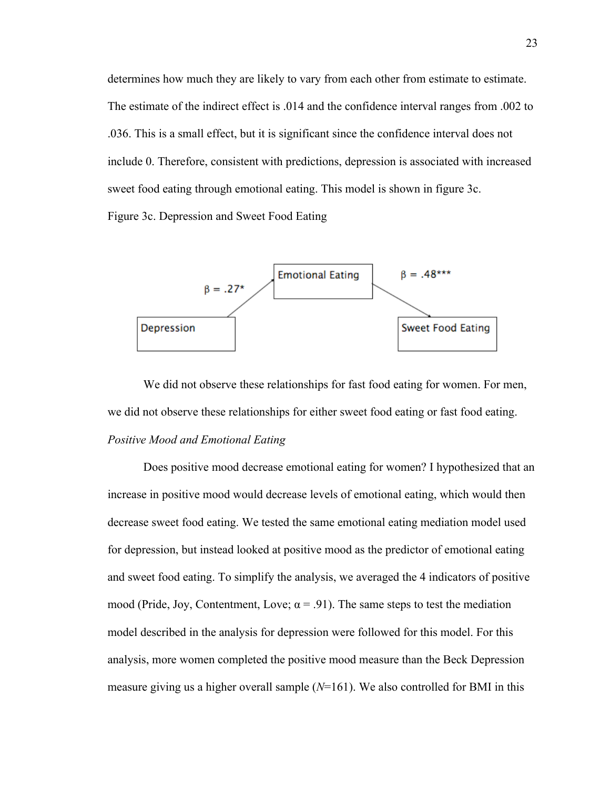determines how much they are likely to vary from each other from estimate to estimate. The estimate of the indirect effect is .014 and the confidence interval ranges from .002 to .036. This is a small effect, but it is significant since the confidence interval does not include 0. Therefore, consistent with predictions, depression is associated with increased sweet food eating through emotional eating. This model is shown in figure 3c. Figure 3c. Depression and Sweet Food Eating



We did not observe these relationships for fast food eating for women. For men, we did not observe these relationships for either sweet food eating or fast food eating. *Positive Mood and Emotional Eating*

Does positive mood decrease emotional eating for women? I hypothesized that an increase in positive mood would decrease levels of emotional eating, which would then decrease sweet food eating. We tested the same emotional eating mediation model used for depression, but instead looked at positive mood as the predictor of emotional eating and sweet food eating. To simplify the analysis, we averaged the 4 indicators of positive mood (Pride, Joy, Contentment, Love;  $\alpha$  = .91). The same steps to test the mediation model described in the analysis for depression were followed for this model. For this analysis, more women completed the positive mood measure than the Beck Depression measure giving us a higher overall sample (*N*=161). We also controlled for BMI in this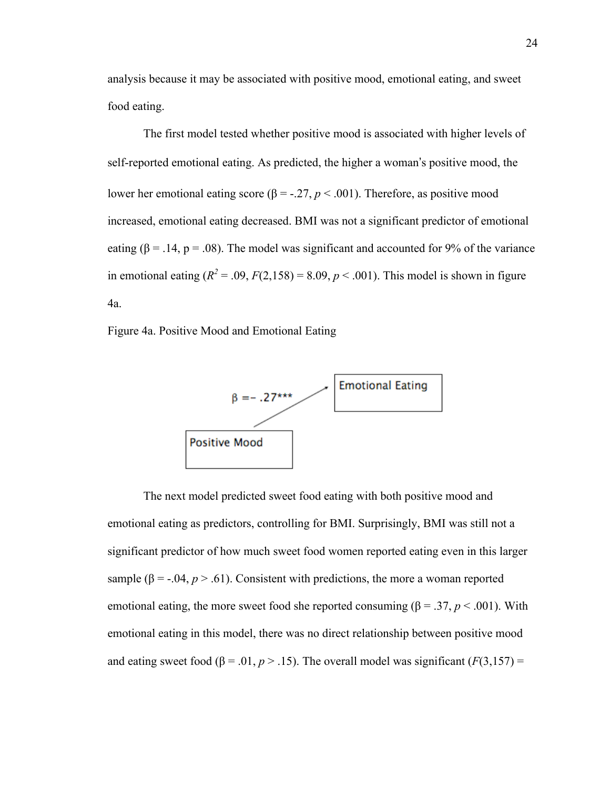analysis because it may be associated with positive mood, emotional eating, and sweet food eating.

The first model tested whether positive mood is associated with higher levels of self-reported emotional eating. As predicted, the higher a woman's positive mood, the lower her emotional eating score (β = -.27,  $p$  < .001). Therefore, as positive mood increased, emotional eating decreased. BMI was not a significant predictor of emotional eating ( $\beta$  = .14, p = .08). The model was significant and accounted for 9% of the variance in emotional eating  $(R^2 = .09, F(2,158) = 8.09, p < .001)$ . This model is shown in figure 4a.

Figure 4a. Positive Mood and Emotional Eating



The next model predicted sweet food eating with both positive mood and emotional eating as predictors, controlling for BMI. Surprisingly, BMI was still not a significant predictor of how much sweet food women reported eating even in this larger sample ( $\beta$  = -.04,  $p > .61$ ). Consistent with predictions, the more a woman reported emotional eating, the more sweet food she reported consuming ( $\beta = .37$ ,  $p < .001$ ). With emotional eating in this model, there was no direct relationship between positive mood and eating sweet food ( $\beta$  = .01,  $p$  > .15). The overall model was significant ( $F(3,157)$  =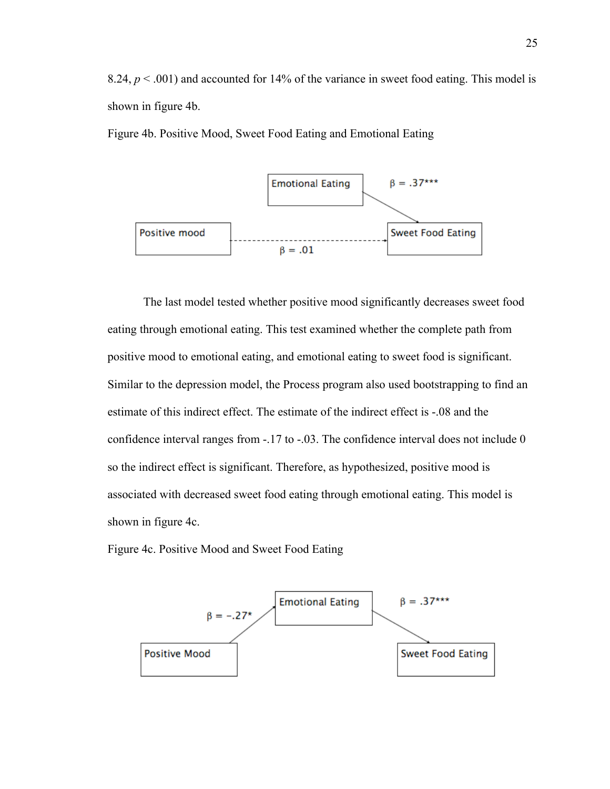8.24,  $p < .001$ ) and accounted for 14% of the variance in sweet food eating. This model is shown in figure 4b.

Figure 4b. Positive Mood, Sweet Food Eating and Emotional Eating



The last model tested whether positive mood significantly decreases sweet food eating through emotional eating. This test examined whether the complete path from positive mood to emotional eating, and emotional eating to sweet food is significant. Similar to the depression model, the Process program also used bootstrapping to find an estimate of this indirect effect. The estimate of the indirect effect is -.08 and the confidence interval ranges from -.17 to -.03. The confidence interval does not include 0 so the indirect effect is significant. Therefore, as hypothesized, positive mood is associated with decreased sweet food eating through emotional eating. This model is shown in figure 4c.

Figure 4c. Positive Mood and Sweet Food Eating

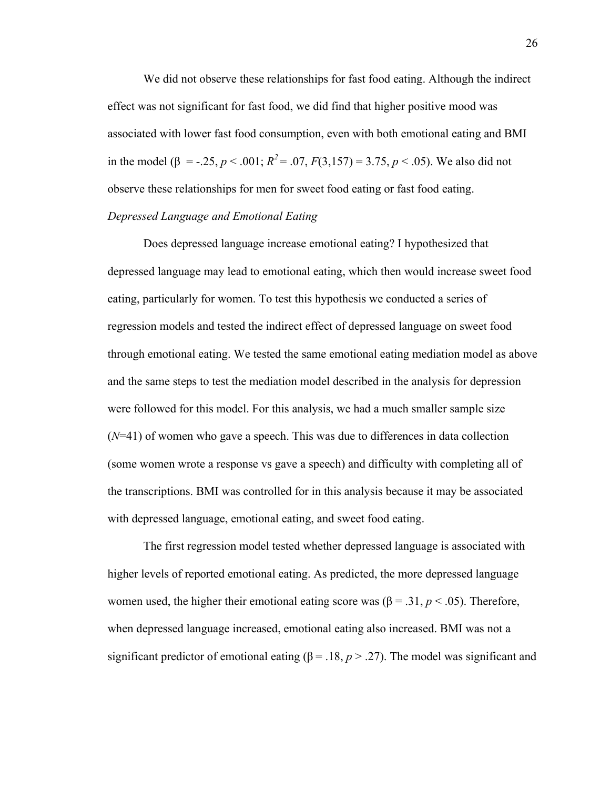We did not observe these relationships for fast food eating. Although the indirect effect was not significant for fast food, we did find that higher positive mood was associated with lower fast food consumption, even with both emotional eating and BMI in the model ( $\beta$  = -.25,  $p < .001$ ;  $R^2 = .07$ ,  $F(3,157) = 3.75$ ,  $p < .05$ ). We also did not observe these relationships for men for sweet food eating or fast food eating. *Depressed Language and Emotional Eating*

Does depressed language increase emotional eating? I hypothesized that depressed language may lead to emotional eating, which then would increase sweet food eating, particularly for women. To test this hypothesis we conducted a series of regression models and tested the indirect effect of depressed language on sweet food through emotional eating. We tested the same emotional eating mediation model as above and the same steps to test the mediation model described in the analysis for depression were followed for this model. For this analysis, we had a much smaller sample size (*N*=41) of women who gave a speech. This was due to differences in data collection (some women wrote a response vs gave a speech) and difficulty with completing all of the transcriptions. BMI was controlled for in this analysis because it may be associated with depressed language, emotional eating, and sweet food eating.

The first regression model tested whether depressed language is associated with higher levels of reported emotional eating. As predicted, the more depressed language women used, the higher their emotional eating score was ( $\beta$  = .31,  $p$  < .05). Therefore, when depressed language increased, emotional eating also increased. BMI was not a significant predictor of emotional eating ( $\beta$  = .18,  $p$  > .27). The model was significant and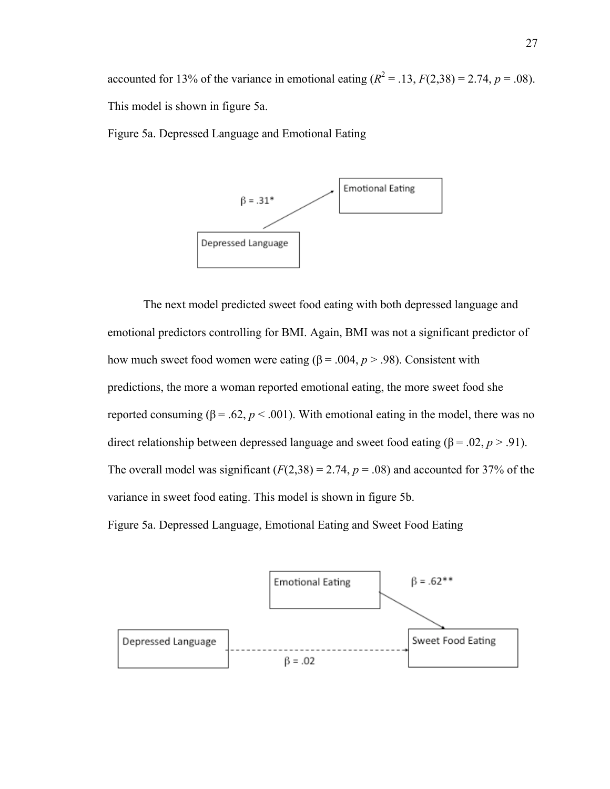accounted for 13% of the variance in emotional eating  $(R^2 = .13, F(2,38) = 2.74, p = .08)$ . This model is shown in figure 5a.

Figure 5a. Depressed Language and Emotional Eating



The next model predicted sweet food eating with both depressed language and emotional predictors controlling for BMI. Again, BMI was not a significant predictor of how much sweet food women were eating ( $\beta$  = .004,  $p > .98$ ). Consistent with predictions, the more a woman reported emotional eating, the more sweet food she reported consuming ( $β = 0.62$ ,  $p < 0.001$ ). With emotional eating in the model, there was no direct relationship between depressed language and sweet food eating (β = .02, *p* > .91). The overall model was significant  $(F(2,38) = 2.74, p = .08)$  and accounted for 37% of the variance in sweet food eating. This model is shown in figure 5b.

Figure 5a. Depressed Language, Emotional Eating and Sweet Food Eating

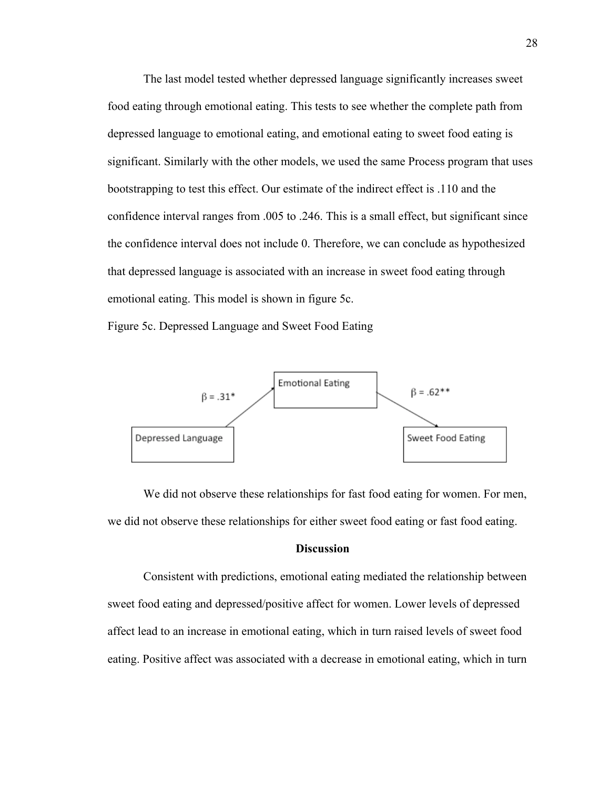The last model tested whether depressed language significantly increases sweet food eating through emotional eating. This tests to see whether the complete path from depressed language to emotional eating, and emotional eating to sweet food eating is significant. Similarly with the other models, we used the same Process program that uses bootstrapping to test this effect. Our estimate of the indirect effect is .110 and the confidence interval ranges from .005 to .246. This is a small effect, but significant since the confidence interval does not include 0. Therefore, we can conclude as hypothesized that depressed language is associated with an increase in sweet food eating through emotional eating. This model is shown in figure 5c.

Figure 5c. Depressed Language and Sweet Food Eating



We did not observe these relationships for fast food eating for women. For men, we did not observe these relationships for either sweet food eating or fast food eating.

# **Discussion**

Consistent with predictions, emotional eating mediated the relationship between sweet food eating and depressed/positive affect for women. Lower levels of depressed affect lead to an increase in emotional eating, which in turn raised levels of sweet food eating. Positive affect was associated with a decrease in emotional eating, which in turn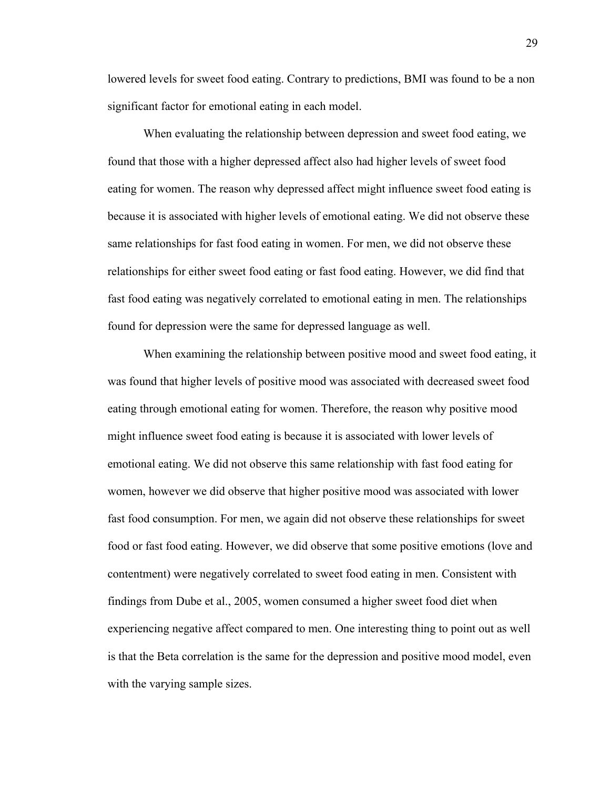lowered levels for sweet food eating. Contrary to predictions, BMI was found to be a non significant factor for emotional eating in each model.

When evaluating the relationship between depression and sweet food eating, we found that those with a higher depressed affect also had higher levels of sweet food eating for women. The reason why depressed affect might influence sweet food eating is because it is associated with higher levels of emotional eating. We did not observe these same relationships for fast food eating in women. For men, we did not observe these relationships for either sweet food eating or fast food eating. However, we did find that fast food eating was negatively correlated to emotional eating in men. The relationships found for depression were the same for depressed language as well.

When examining the relationship between positive mood and sweet food eating, it was found that higher levels of positive mood was associated with decreased sweet food eating through emotional eating for women. Therefore, the reason why positive mood might influence sweet food eating is because it is associated with lower levels of emotional eating. We did not observe this same relationship with fast food eating for women, however we did observe that higher positive mood was associated with lower fast food consumption. For men, we again did not observe these relationships for sweet food or fast food eating. However, we did observe that some positive emotions (love and contentment) were negatively correlated to sweet food eating in men. Consistent with findings from Dube et al., 2005, women consumed a higher sweet food diet when experiencing negative affect compared to men. One interesting thing to point out as well is that the Beta correlation is the same for the depression and positive mood model, even with the varying sample sizes.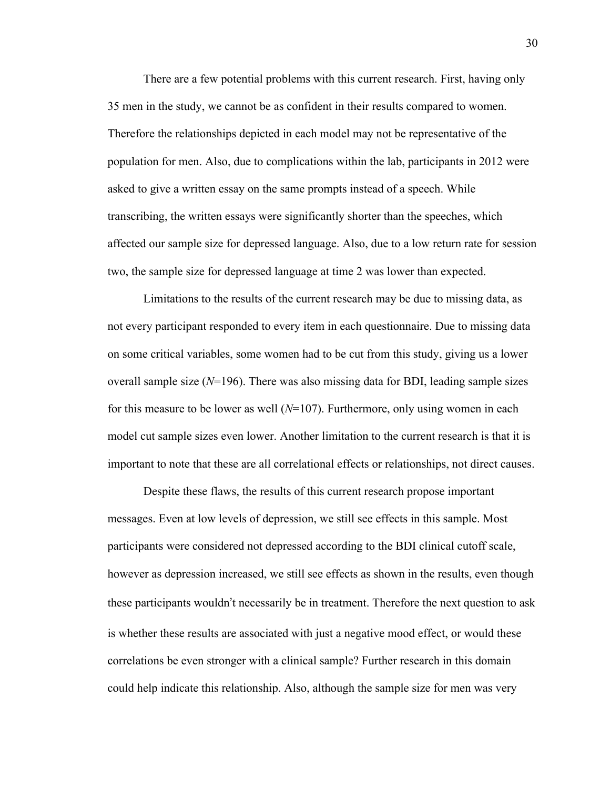There are a few potential problems with this current research. First, having only 35 men in the study, we cannot be as confident in their results compared to women. Therefore the relationships depicted in each model may not be representative of the population for men. Also, due to complications within the lab, participants in 2012 were asked to give a written essay on the same prompts instead of a speech. While transcribing, the written essays were significantly shorter than the speeches, which affected our sample size for depressed language. Also, due to a low return rate for session two, the sample size for depressed language at time 2 was lower than expected.

Limitations to the results of the current research may be due to missing data, as not every participant responded to every item in each questionnaire. Due to missing data on some critical variables, some women had to be cut from this study, giving us a lower overall sample size (*N*=196). There was also missing data for BDI, leading sample sizes for this measure to be lower as well (*N*=107). Furthermore, only using women in each model cut sample sizes even lower. Another limitation to the current research is that it is important to note that these are all correlational effects or relationships, not direct causes.

Despite these flaws, the results of this current research propose important messages. Even at low levels of depression, we still see effects in this sample. Most participants were considered not depressed according to the BDI clinical cutoff scale, however as depression increased, we still see effects as shown in the results, even though these participants wouldn't necessarily be in treatment. Therefore the next question to ask is whether these results are associated with just a negative mood effect, or would these correlations be even stronger with a clinical sample? Further research in this domain could help indicate this relationship. Also, although the sample size for men was very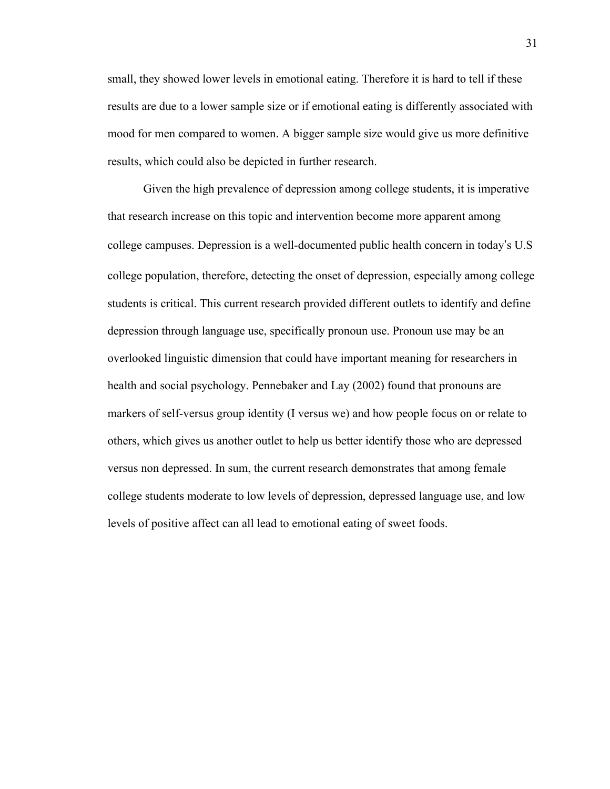small, they showed lower levels in emotional eating. Therefore it is hard to tell if these results are due to a lower sample size or if emotional eating is differently associated with mood for men compared to women. A bigger sample size would give us more definitive results, which could also be depicted in further research.

Given the high prevalence of depression among college students, it is imperative that research increase on this topic and intervention become more apparent among college campuses. Depression is a well-documented public health concern in today's U.S college population, therefore, detecting the onset of depression, especially among college students is critical. This current research provided different outlets to identify and define depression through language use, specifically pronoun use. Pronoun use may be an overlooked linguistic dimension that could have important meaning for researchers in health and social psychology. Pennebaker and Lay (2002) found that pronouns are markers of self-versus group identity (I versus we) and how people focus on or relate to others, which gives us another outlet to help us better identify those who are depressed versus non depressed. In sum, the current research demonstrates that among female college students moderate to low levels of depression, depressed language use, and low levels of positive affect can all lead to emotional eating of sweet foods.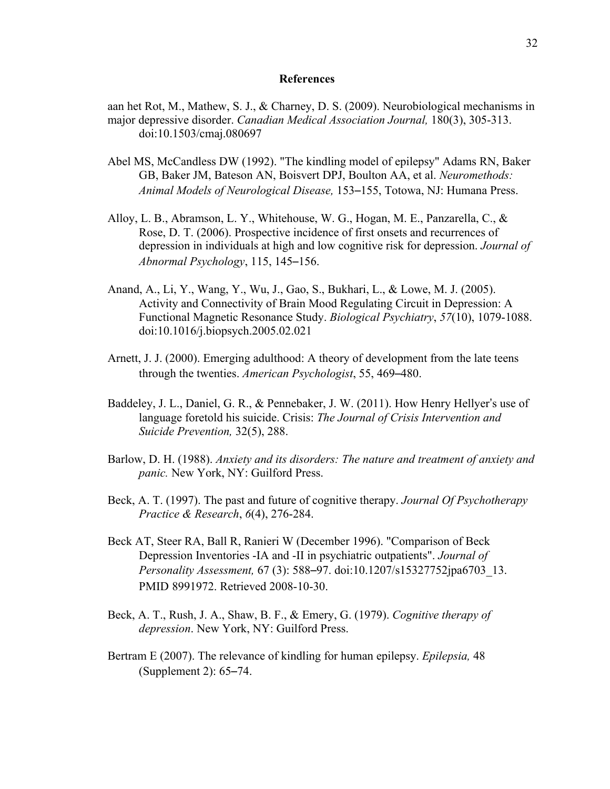#### **References**

- aan het Rot, M., Mathew, S. J., & Charney, D. S. (2009). Neurobiological mechanisms in major depressive disorder. *Canadian Medical Association Journal,* 180(3), 305-313. doi:10.1503/cmaj.080697
- Abel MS, McCandless DW (1992). "The kindling model of epilepsy" Adams RN, Baker GB, Baker JM, Bateson AN, Boisvert DPJ, Boulton AA, et al. *Neuromethods: Animal Models of Neurological Disease,* 153–155, Totowa, NJ: Humana Press.
- Alloy, L. B., Abramson, L. Y., Whitehouse, W. G., Hogan, M. E., Panzarella, C., & Rose, D. T. (2006). Prospective incidence of first onsets and recurrences of depression in individuals at high and low cognitive risk for depression. *Journal of Abnormal Psychology*, 115, 145–156.
- Anand, A., Li, Y., Wang, Y., Wu, J., Gao, S., Bukhari, L., & Lowe, M. J. (2005). Activity and Connectivity of Brain Mood Regulating Circuit in Depression: A Functional Magnetic Resonance Study. *Biological Psychiatry*, *57*(10), 1079-1088. doi:10.1016/j.biopsych.2005.02.021
- Arnett, J. J. (2000). Emerging adulthood: A theory of development from the late teens through the twenties. *American Psychologist*, 55, 469–480.
- Baddeley, J. L., Daniel, G. R., & Pennebaker, J. W. (2011). How Henry Hellyer's use of language foretold his suicide. Crisis: *The Journal of Crisis Intervention and Suicide Prevention,* 32(5), 288.
- Barlow, D. H. (1988). *Anxiety and its disorders: The nature and treatment of anxiety and panic.* New York, NY: Guilford Press.
- Beck, A. T. (1997). The past and future of cognitive therapy. *Journal Of Psychotherapy Practice & Research*, *6*(4), 276-284.
- Beck AT, Steer RA, Ball R, Ranieri W (December 1996). "Comparison of Beck Depression Inventories -IA and -II in psychiatric outpatients". *Journal of Personality Assessment,* 67 (3): 588–97. doi:10.1207/s15327752jpa6703\_13. PMID 8991972. Retrieved 2008-10-30.
- Beck, A. T., Rush, J. A., Shaw, B. F., & Emery, G. (1979). *Cognitive therapy of depression*. New York, NY: Guilford Press.
- Bertram E (2007). The relevance of kindling for human epilepsy. *Epilepsia,* 48 (Supplement 2): 65–74.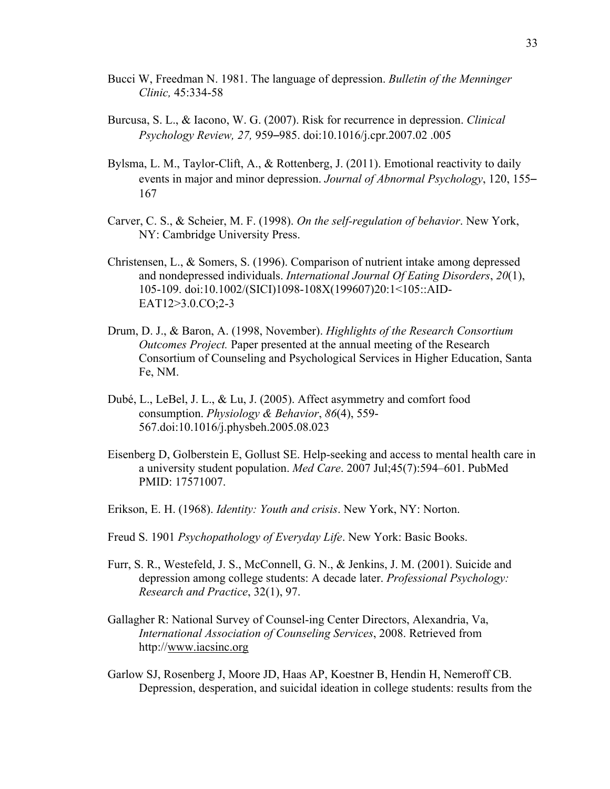- Bucci W, Freedman N. 1981. The language of depression. *Bulletin of the Menninger Clinic,* 45:334-58
- Burcusa, S. L., & Iacono, W. G. (2007). Risk for recurrence in depression. *Clinical Psychology Review, 27,* 959–985. doi:10.1016/j.cpr.2007.02 .005
- Bylsma, L. M., Taylor-Clift, A., & Rottenberg, J. (2011). Emotional reactivity to daily events in major and minor depression. *Journal of Abnormal Psychology*, 120, 155– 167
- Carver, C. S., & Scheier, M. F. (1998). *On the self-regulation of behavior*. New York, NY: Cambridge University Press.
- Christensen, L., & Somers, S. (1996). Comparison of nutrient intake among depressed and nondepressed individuals. *International Journal Of Eating Disorders*, *20*(1), 105-109. doi:10.1002/(SICI)1098-108X(199607)20:1<105::AID-EAT12>3.0.CO;2-3
- Drum, D. J., & Baron, A. (1998, November). *Highlights of the Research Consortium Outcomes Project.* Paper presented at the annual meeting of the Research Consortium of Counseling and Psychological Services in Higher Education, Santa Fe, NM.
- Dubé, L., LeBel, J. L., & Lu, J. (2005). Affect asymmetry and comfort food consumption. *Physiology & Behavior*, *86*(4), 559- 567.doi:10.1016/j.physbeh.2005.08.023
- Eisenberg D, Golberstein E, Gollust SE. Help-seeking and access to mental health care in a university student population. *Med Care*. 2007 Jul;45(7):594–601. PubMed PMID: 17571007.
- Erikson, E. H. (1968). *Identity: Youth and crisis*. New York, NY: Norton.
- Freud S. 1901 *Psychopathology of Everyday Life*. New York: Basic Books.
- Furr, S. R., Westefeld, J. S., McConnell, G. N., & Jenkins, J. M. (2001). Suicide and depression among college students: A decade later. *Professional Psychology: Research and Practice*, 32(1), 97.
- Gallagher R: National Survey of Counsel-ing Center Directors, Alexandria, Va, *International Association of Counseling Services*, 2008. Retrieved from http://www.iacsinc.org
- Garlow SJ, Rosenberg J, Moore JD, Haas AP, Koestner B, Hendin H, Nemeroff CB. Depression, desperation, and suicidal ideation in college students: results from the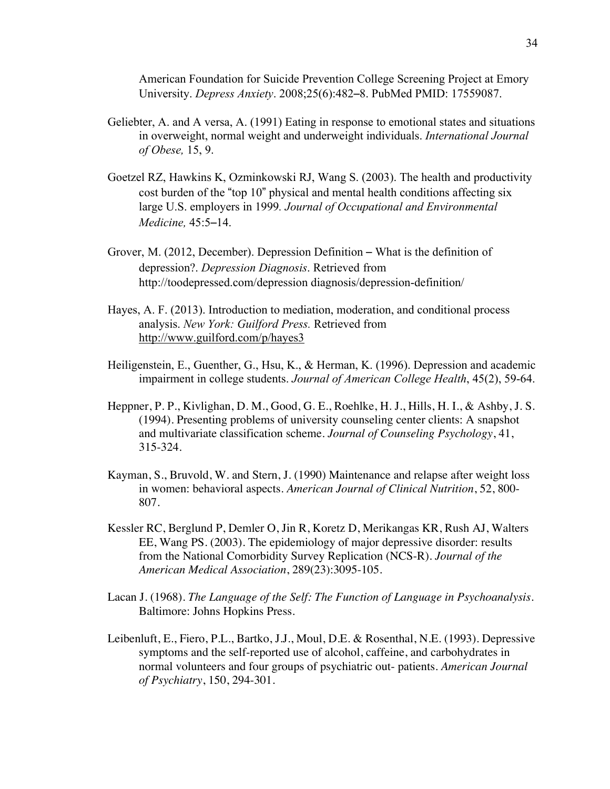American Foundation for Suicide Prevention College Screening Project at Emory University. *Depress Anxiety*. 2008;25(6):482–8. PubMed PMID: 17559087.

- Geliebter, A. and A versa, A. (1991) Eating in response to emotional states and situations in overweight, normal weight and underweight individuals. *International Journal of Obese,* 15, 9.
- Goetzel RZ, Hawkins K, Ozminkowski RJ, Wang S. (2003). The health and productivity cost burden of the "top 10" physical and mental health conditions affecting six large U.S. employers in 1999*. Journal of Occupational and Environmental Medicine,* 45:5–14.
- Grover, M. (2012, December). Depression Definition What is the definition of depression?. *Depression Diagnosis*. Retrieved from http://toodepressed.com/depression diagnosis/depression-definition/
- Hayes, A. F. (2013). Introduction to mediation, moderation, and conditional process analysis. *New York: Guilford Press.* Retrieved from http://www.guilford.com/p/hayes3
- Heiligenstein, E., Guenther, G., Hsu, K., & Herman, K. (1996). Depression and academic impairment in college students. *Journal of American College Health*, 45(2), 59-64.
- Heppner, P. P., Kivlighan, D. M., Good, G. E., Roehlke, H. J., Hills, H. I., & Ashby, J. S. (1994). Presenting problems of university counseling center clients: A snapshot and multivariate classification scheme. *Journal of Counseling Psychology*, 41, 315-324.
- Kayman, S., Bruvold, W. and Stern, J. (1990) Maintenance and relapse after weight loss in women: behavioral aspects. *American Journal of Clinical Nutrition*, 52, 800- 807.
- Kessler RC, Berglund P, Demler O, Jin R, Koretz D, Merikangas KR, Rush AJ, Walters EE, Wang PS. (2003). The epidemiology of major depressive disorder: results from the National Comorbidity Survey Replication (NCS-R). *Journal of the American Medical Association*, 289(23):3095-105.
- Lacan J. (1968). *The Language of the Self: The Function of Language in Psychoanalysis*. Baltimore: Johns Hopkins Press.
- Leibenluft, E., Fiero, P.L., Bartko, J.J., Moul, D.E. & Rosenthal, N.E. (1993). Depressive symptoms and the self-reported use of alcohol, caffeine, and carbohydrates in normal volunteers and four groups of psychiatric out- patients. *American Journal of Psychiatry*, 150, 294-301.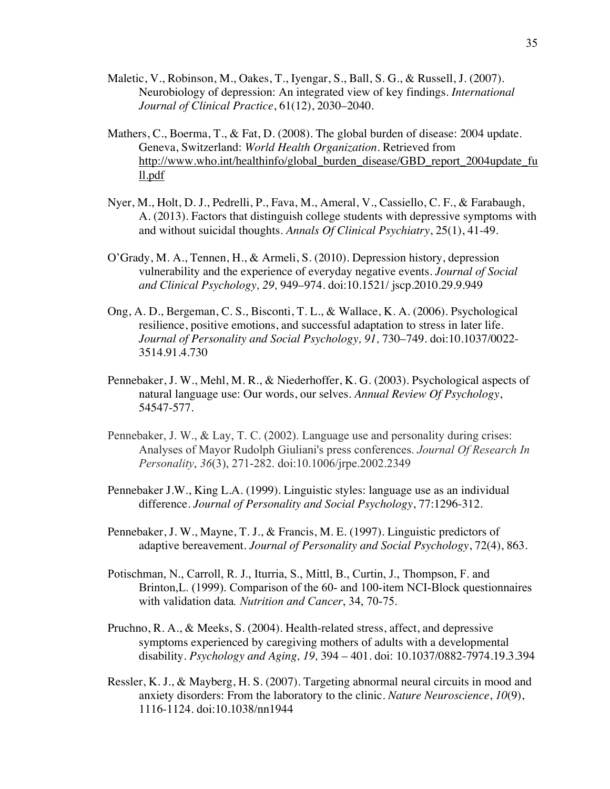- Maletic, V., Robinson, M., Oakes, T., Iyengar, S., Ball, S. G., & Russell, J. (2007). Neurobiology of depression: An integrated view of key findings. *International Journal of Clinical Practice*, 61(12), 2030–2040.
- Mathers, C., Boerma, T., & Fat, D. (2008). The global burden of disease: 2004 update. Geneva, Switzerland: *World Health Organization*. Retrieved from http://www.who.int/healthinfo/global\_burden\_disease/GBD\_report\_2004update\_fu ll.pdf
- Nyer, M., Holt, D. J., Pedrelli, P., Fava, M., Ameral, V., Cassiello, C. F., & Farabaugh, A. (2013). Factors that distinguish college students with depressive symptoms with and without suicidal thoughts. *Annals Of Clinical Psychiatry*, 25(1), 41-49.
- O'Grady, M. A., Tennen, H., & Armeli, S. (2010). Depression history, depression vulnerability and the experience of everyday negative events. *Journal of Social and Clinical Psychology, 29,* 949–974. doi:10.1521/ jscp.2010.29.9.949
- Ong, A. D., Bergeman, C. S., Bisconti, T. L., & Wallace, K. A. (2006). Psychological resilience, positive emotions, and successful adaptation to stress in later life. *Journal of Personality and Social Psychology, 91,* 730–749. doi:10.1037/0022- 3514.91.4.730
- Pennebaker, J. W., Mehl, M. R., & Niederhoffer, K. G. (2003). Psychological aspects of natural language use: Our words, our selves. *Annual Review Of Psychology*, 54547-577.
- Pennebaker, J. W., & Lay, T. C. (2002). Language use and personality during crises: Analyses of Mayor Rudolph Giuliani's press conferences. *Journal Of Research In Personality*, *36*(3), 271-282. doi:10.1006/jrpe.2002.2349
- Pennebaker J.W., King L.A. (1999). Linguistic styles: language use as an individual difference. *Journal of Personality and Social Psychology*, 77:1296-312.
- Pennebaker, J. W., Mayne, T. J., & Francis, M. E. (1997). Linguistic predictors of adaptive bereavement*. Journal of Personality and Social Psychology*, 72(4), 863.
- Potischman, N., Carroll, R. J., Iturria, S., Mittl, B., Curtin, J., Thompson, F. and Brinton,L. (1999). Comparison of the 60- and 100-item NCI-Block questionnaires with validation data*. Nutrition and Cancer*, 34, 70-75.
- Pruchno, R. A., & Meeks, S. (2004). Health-related stress, affect, and depressive symptoms experienced by caregiving mothers of adults with a developmental disability. *Psychology and Aging, 19,* 394 – 401. doi: 10.1037/0882-7974.19.3.394
- Ressler, K. J., & Mayberg, H. S. (2007). Targeting abnormal neural circuits in mood and anxiety disorders: From the laboratory to the clinic. *Nature Neuroscience*, *10*(9), 1116-1124. doi:10.1038/nn1944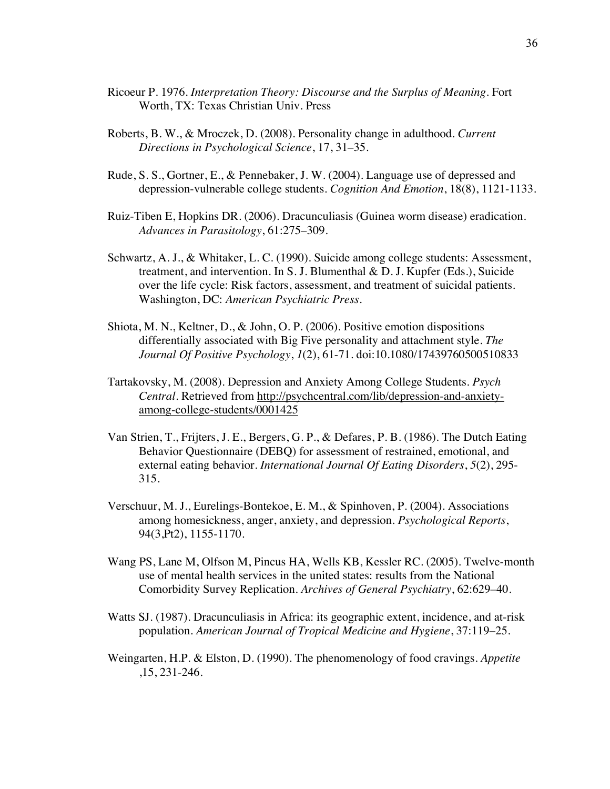- Ricoeur P. 1976. *Interpretation Theory: Discourse and the Surplus of Meaning*. Fort Worth, TX: Texas Christian Univ. Press
- Roberts, B. W., & Mroczek, D. (2008). Personality change in adulthood. *Current Directions in Psychological Science*, 17, 31–35.
- Rude, S. S., Gortner, E., & Pennebaker, J. W. (2004). Language use of depressed and depression-vulnerable college students. *Cognition And Emotion*, 18(8), 1121-1133.
- Ruiz-Tiben E, Hopkins DR. (2006). Dracunculiasis (Guinea worm disease) eradication. *Advances in Parasitology*, 61:275–309.
- Schwartz, A. J., & Whitaker, L. C. (1990). Suicide among college students: Assessment, treatment, and intervention. In S. J. Blumenthal & D. J. Kupfer (Eds.), Suicide over the life cycle: Risk factors, assessment, and treatment of suicidal patients. Washington, DC: *American Psychiatric Press*.
- Shiota, M. N., Keltner, D., & John, O. P. (2006). Positive emotion dispositions differentially associated with Big Five personality and attachment style. *The Journal Of Positive Psychology*, *1*(2), 61-71. doi:10.1080/17439760500510833
- Tartakovsky, M. (2008). Depression and Anxiety Among College Students. *Psych Central*. Retrieved from http://psychcentral.com/lib/depression-and-anxietyamong-college-students/0001425
- Van Strien, T., Frijters, J. E., Bergers, G. P., & Defares, P. B. (1986). The Dutch Eating Behavior Questionnaire (DEBQ) for assessment of restrained, emotional, and external eating behavior. *International Journal Of Eating Disorders*, *5*(2), 295- 315.
- Verschuur, M. J., Eurelings-Bontekoe, E. M., & Spinhoven, P. (2004). Associations among homesickness, anger, anxiety, and depression. *Psychological Reports*, 94(3,Pt2), 1155-1170.
- Wang PS, Lane M, Olfson M, Pincus HA, Wells KB, Kessler RC. (2005). Twelve-month use of mental health services in the united states: results from the National Comorbidity Survey Replication. *Archives of General Psychiatry*, 62:629–40.
- Watts SJ. (1987). Dracunculiasis in Africa: its geographic extent, incidence, and at-risk population. *American Journal of Tropical Medicine and Hygiene*, 37:119–25.
- Weingarten, H.P. & Elston, D. (1990). The phenomenology of food cravings. *Appetite* ,15, 231-246.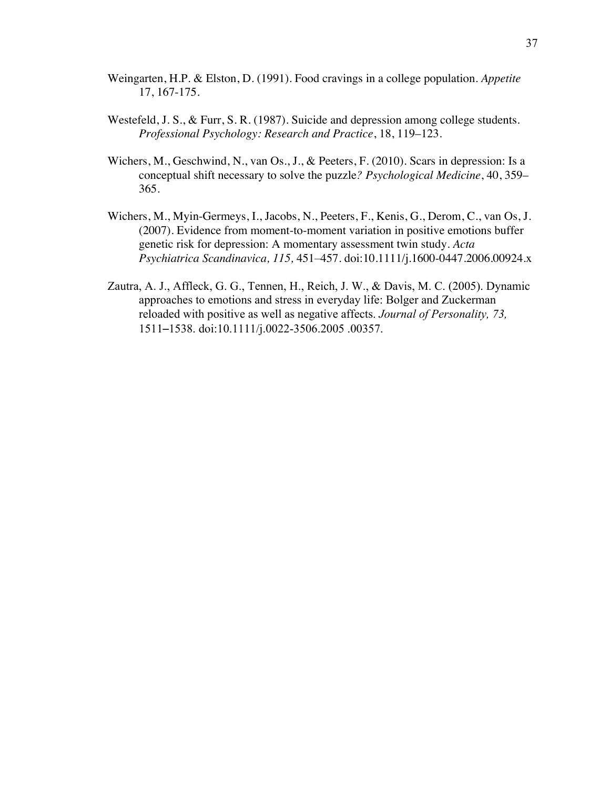- Weingarten, H.P. & Elston, D. (1991). Food cravings in a college population. *Appetite* 17, 167-175.
- Westefeld, J. S., & Furr, S. R. (1987). Suicide and depression among college students. *Professional Psychology: Research and Practice*, 18, 119–123.
- Wichers, M., Geschwind, N., van Os., J., & Peeters, F. (2010). Scars in depression: Is a conceptual shift necessary to solve the puzzle*? Psychological Medicine*, 40, 359– 365.
- Wichers, M., Myin-Germeys, I., Jacobs, N., Peeters, F., Kenis, G., Derom, C., van Os, J. (2007). Evidence from moment-to-moment variation in positive emotions buffer genetic risk for depression: A momentary assessment twin study. *Acta Psychiatrica Scandinavica, 115,* 451–457. doi:10.1111/j.1600-0447.2006.00924.x
- Zautra, A. J., Affleck, G. G., Tennen, H., Reich, J. W., & Davis, M. C. (2005). Dynamic approaches to emotions and stress in everyday life: Bolger and Zuckerman reloaded with positive as well as negative affects. *Journal of Personality, 73,* 1511–1538. doi:10.1111/j.0022-3506.2005 .00357.